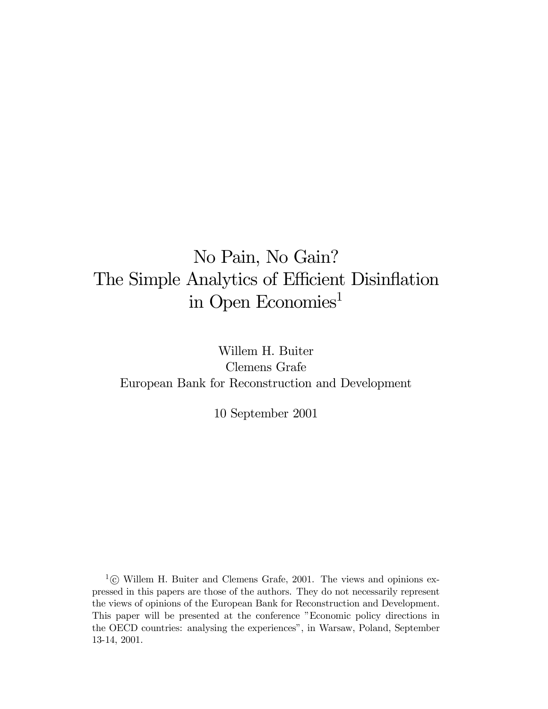# No Pain, No Gain? The Simple Analytics of Efficient Disinflation in Open Economies<sup>1</sup>

Willem H. Buiter Clemens Grafe European Bank for Reconstruction and Development

10 September 2001

 $1\textcircled{c}$  Willem H. Buiter and Clemens Grafe, 2001. The views and opinions expressed in this papers are those of the authors. They do not necessarily represent the views of opinions of the European Bank for Reconstruction and Development. This paper will be presented at the conference "Economic policy directions in the OECD countries: analysing the experiences", in Warsaw, Poland, September 13-14, 2001.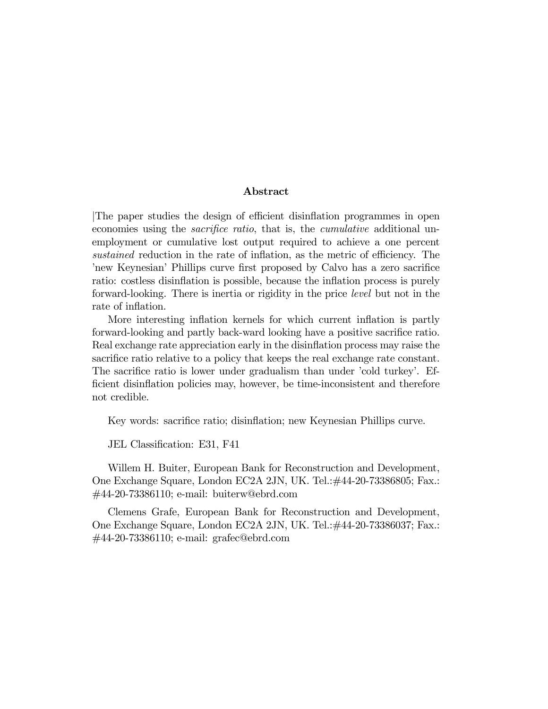#### Abstract

|The paper studies the design of efficient disinflation programmes in open economies using the *sacrifice ratio*, that is, the *cumulative* additional unemployment or cumulative lost output required to achieve a one percent sustained reduction in the rate of inflation, as the metric of efficiency. The 'new Keynesian' Phillips curve first proposed by Calvo has a zero sacrifice ratio: costless disinflation is possible, because the inflation process is purely forward-looking. There is inertia or rigidity in the price level but not in the rate of inflation.

More interesting inflation kernels for which current inflation is partly forward-looking and partly back-ward looking have a positive sacrifice ratio. Real exchange rate appreciation early in the disinflation process may raise the sacrifice ratio relative to a policy that keeps the real exchange rate constant. The sacrifice ratio is lower under gradualism than under 'cold turkey'. Efficient disinflation policies may, however, be time-inconsistent and therefore not credible.

Key words: sacrifice ratio; disinflation; new Keynesian Phillips curve.

JEL Classification: E31, F41

Willem H. Buiter, European Bank for Reconstruction and Development, One Exchange Square, London EC2A 2JN, UK. Tel.:#44-20-73386805; Fax.: #44-20-73386110; e-mail: buiterw@ebrd.com

Clemens Grafe, European Bank for Reconstruction and Development, One Exchange Square, London EC2A 2JN, UK. Tel.:#44-20-73386037; Fax.: #44-20-73386110; e-mail: grafec@ebrd.com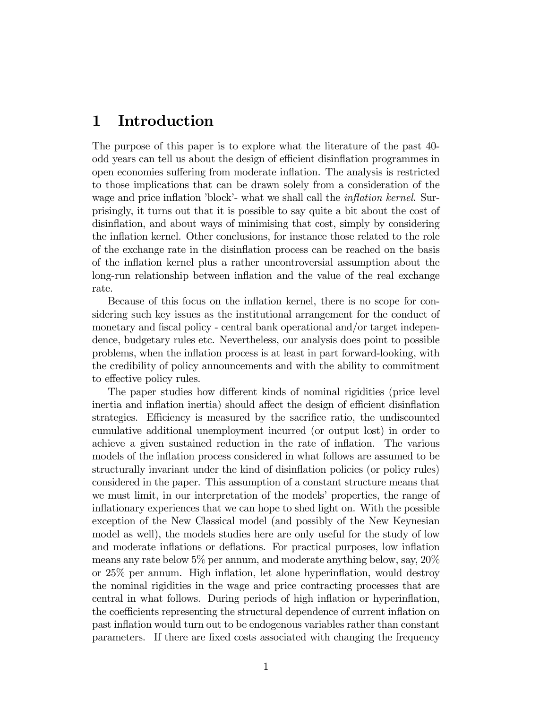### 1 Introduction

The purpose of this paper is to explore what the literature of the past 40 odd years can tell us about the design of efficient disinflation programmes in open economies suffering from moderate inflation. The analysis is restricted to those implications that can be drawn solely from a consideration of the wage and price inflation 'block'- what we shall call the *inflation kernel*. Surprisingly, it turns out that it is possible to say quite a bit about the cost of disinflation, and about ways of minimising that cost, simply by considering the inflation kernel. Other conclusions, for instance those related to the role of the exchange rate in the disinflation process can be reached on the basis of the inflation kernel plus a rather uncontroversial assumption about the long-run relationship between inflation and the value of the real exchange rate.

Because of this focus on the inflation kernel, there is no scope for considering such key issues as the institutional arrangement for the conduct of monetary and fiscal policy - central bank operational and/or target independence, budgetary rules etc. Nevertheless, our analysis does point to possible problems, when the inflation process is at least in part forward-looking, with the credibility of policy announcements and with the ability to commitment to effective policy rules.

The paper studies how different kinds of nominal rigidities (price level inertia and inflation inertia) should affect the design of efficient disinflation strategies. Efficiency is measured by the sacrifice ratio, the undiscounted cumulative additional unemployment incurred (or output lost) in order to achieve a given sustained reduction in the rate of inflation. The various models of the inflation process considered in what follows are assumed to be structurally invariant under the kind of disinflation policies (or policy rules) considered in the paper. This assumption of a constant structure means that we must limit, in our interpretation of the models' properties, the range of inflationary experiences that we can hope to shed light on. With the possible exception of the New Classical model (and possibly of the New Keynesian model as well), the models studies here are only useful for the study of low and moderate inflations or deflations. For practical purposes, low inflation means any rate below 5% per annum, and moderate anything below, say, 20% or 25% per annum. High inflation, let alone hyperinflation, would destroy the nominal rigidities in the wage and price contracting processes that are central in what follows. During periods of high inflation or hyperinflation, the coefficients representing the structural dependence of current inflation on past inflation would turn out to be endogenous variables rather than constant parameters. If there are fixed costs associated with changing the frequency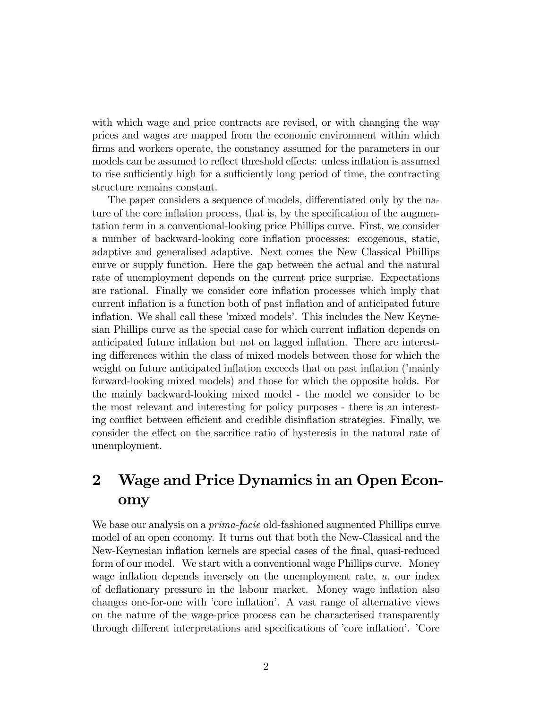with which wage and price contracts are revised, or with changing the way prices and wages are mapped from the economic environment within which firms and workers operate, the constancy assumed for the parameters in our models can be assumed to reflect threshold effects: unless inflation is assumed to rise sufficiently high for a sufficiently long period of time, the contracting structure remains constant.

The paper considers a sequence of models, differentiated only by the nature of the core inflation process, that is, by the specification of the augmentation term in a conventional-looking price Phillips curve. First, we consider a number of backward-looking core inflation processes: exogenous, static, adaptive and generalised adaptive. Next comes the New Classical Phillips curve or supply function. Here the gap between the actual and the natural rate of unemployment depends on the current price surprise. Expectations are rational. Finally we consider core inflation processes which imply that current inflation is a function both of past inflation and of anticipated future inflation. We shall call these 'mixed models'. This includes the New Keynesian Phillips curve as the special case for which current inflation depends on anticipated future inflation but not on lagged inflation. There are interesting differences within the class of mixed models between those for which the weight on future anticipated inflation exceeds that on past inflation ('mainly forward-looking mixed models) and those for which the opposite holds. For the mainly backward-looking mixed model - the model we consider to be the most relevant and interesting for policy purposes - there is an interesting conflict between efficient and credible disinflation strategies. Finally, we consider the effect on the sacrifice ratio of hysteresis in the natural rate of unemployment.

# 2 Wage and Price Dynamics in an Open Economy

We base our analysis on a *prima-facie* old-fashioned augmented Phillips curve model of an open economy. It turns out that both the New-Classical and the New-Keynesian inflation kernels are special cases of the final, quasi-reduced form of our model. We start with a conventional wage Phillips curve. Money wage inflation depends inversely on the unemployment rate,  $u$ , our index of deflationary pressure in the labour market. Money wage inflation also changes one-for-one with 'core inflation'. A vast range of alternative views on the nature of the wage-price process can be characterised transparently through different interpretations and specifications of 'core inflation'. 'Core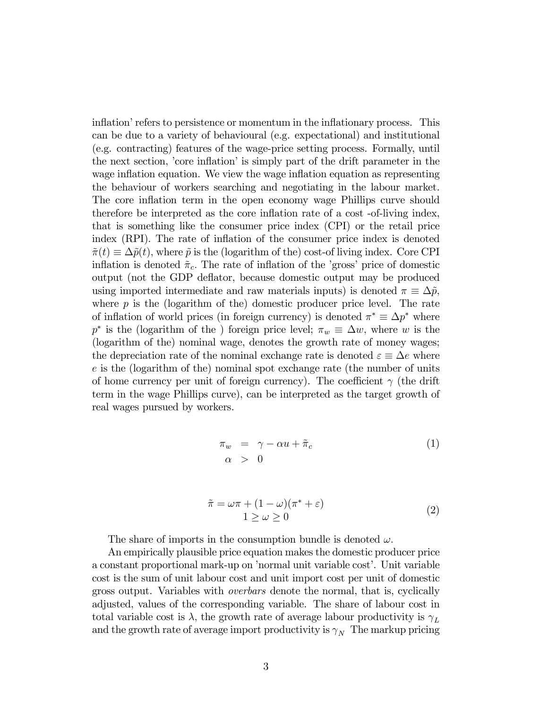inflation' refers to persistence or momentum in the inflationary process. This can be due to a variety of behavioural (e.g. expectational) and institutional (e.g. contracting) features of the wage-price setting process. Formally, until the next section, 'core inflation' is simply part of the drift parameter in the wage inflation equation. We view the wage inflation equation as representing the behaviour of workers searching and negotiating in the labour market. The core inflation term in the open economy wage Phillips curve should therefore be interpreted as the core inflation rate of a cost -of-living index, that is something like the consumer price index (CPI) or the retail price index (RPI). The rate of inflation of the consumer price index is denoted  $\tilde{\pi}(t) \equiv \Delta \tilde{p}(t)$ , where  $\tilde{p}$  is the (logarithm of the) cost-of living index. Core CPI inflation is denoted  $\tilde{\pi}_c$ . The rate of inflation of the 'gross' price of domestic output (not the GDP deflator, because domestic output may be produced using imported intermediate and raw materials inputs) is denoted  $\pi \equiv \Delta \tilde{p}$ , where  $p$  is the (logarithm of the) domestic producer price level. The rate of inflation of world prices (in foreign currency) is denoted  $\pi^* \equiv \Delta p^*$  where p<sup>\*</sup> is the (logarithm of the) foreign price level;  $\pi_w \equiv \Delta w$ , where w is the (logarithm of the) nominal wage, denotes the growth rate of money wages; the depreciation rate of the nominal exchange rate is denoted  $\varepsilon \equiv \Delta e$  where e is the (logarithm of the) nominal spot exchange rate (the number of units of home currency per unit of foreign currency). The coefficient  $\gamma$  (the drift term in the wage Phillips curve), can be interpreted as the target growth of real wages pursued by workers.

$$
\begin{array}{rcl}\n\pi_w &=& \gamma - \alpha u + \tilde{\pi}_c \\
\alpha & > 0\n\end{array} \tag{1}
$$

$$
\tilde{\pi} = \omega \pi + (1 - \omega)(\pi^* + \varepsilon) \n1 \ge \omega \ge 0
$$
\n(2)

The share of imports in the consumption bundle is denoted  $\omega$ .

An empirically plausible price equation makes the domestic producer price a constant proportional mark-up on 'normal unit variable cost'. Unit variable cost is the sum of unit labour cost and unit import cost per unit of domestic gross output. Variables with overbars denote the normal, that is, cyclically adjusted, values of the corresponding variable. The share of labour cost in total variable cost is  $\lambda$ , the growth rate of average labour productivity is  $\gamma_L$ and the growth rate of average import productivity is  $\gamma_N$  The markup pricing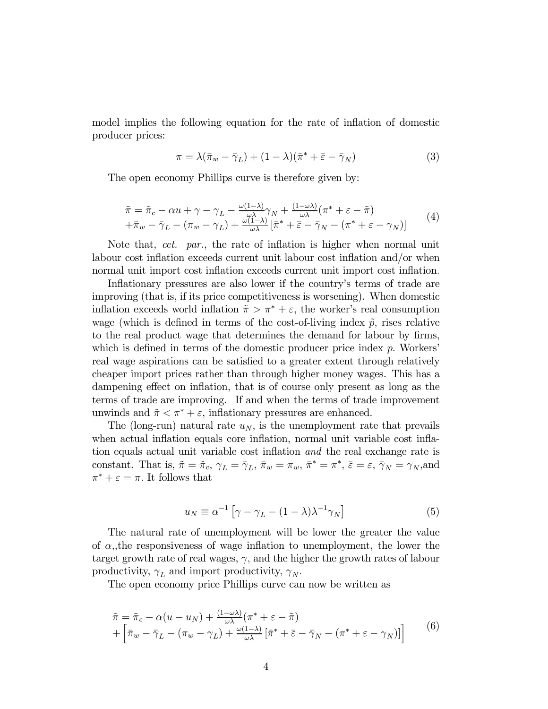model implies the following equation for the rate of inflation of domestic producer prices:

$$
\pi = \lambda(\bar{\pi}_w - \bar{\gamma}_L) + (1 - \lambda)(\bar{\pi}^* + \bar{\varepsilon} - \bar{\gamma}_N)
$$
\n(3)

The open economy Phillips curve is therefore given by:

$$
\tilde{\pi} = \tilde{\pi}_c - \alpha u + \gamma - \gamma_L - \frac{\omega(1-\lambda)}{\omega\lambda}\gamma_N + \frac{(1-\omega\lambda)}{\omega\lambda}(\pi^* + \varepsilon - \tilde{\pi}) \n+ \bar{\pi}_w - \bar{\gamma}_L - (\pi_w - \gamma_L) + \frac{\omega(1-\lambda)}{\omega\lambda}[\bar{\pi}^* + \bar{\varepsilon} - \bar{\gamma}_N - (\pi^* + \varepsilon - \gamma_N)]
$$
\n(4)

Note that, cet. par., the rate of inflation is higher when normal unit labour cost inflation exceeds current unit labour cost inflation and/or when normal unit import cost inflation exceeds current unit import cost inflation.

Inflationary pressures are also lower if the country's terms of trade are improving (that is, if its price competitiveness is worsening). When domestic inflation exceeds world inflation  $\tilde{\pi} > \pi^* + \varepsilon$ , the worker's real consumption wage (which is defined in terms of the cost-of-living index  $\tilde{p}$ , rises relative to the real product wage that determines the demand for labour by firms, which is defined in terms of the domestic producer price index  $p$ . Workers' real wage aspirations can be satisfied to a greater extent through relatively cheaper import prices rather than through higher money wages. This has a dampening effect on inflation, that is of course only present as long as the terms of trade are improving. If and when the terms of trade improvement unwinds and  $\tilde{\pi} < \pi^* + \varepsilon$ , inflationary pressures are enhanced.

The (long-run) natural rate  $u_N$ , is the unemployment rate that prevails when actual inflation equals core inflation, normal unit variable cost inflation equals actual unit variable cost inflation and the real exchange rate is constant. That is,  $\tilde{\pi} = \tilde{\pi}_c$ ,  $\gamma_L = \bar{\gamma}_L$ ,  $\bar{\pi}_w = \pi_w$ ,  $\bar{\pi}^* = \pi^*$ ,  $\bar{\varepsilon} = \varepsilon$ ,  $\bar{\gamma}_N = \gamma_N$ , and  $\pi^* + \varepsilon = \pi$ . It follows that

$$
u_N \equiv \alpha^{-1} \left[ \gamma - \gamma_L - (1 - \lambda) \lambda^{-1} \gamma_N \right] \tag{5}
$$

The natural rate of unemployment will be lower the greater the value of  $\alpha$ , the responsiveness of wage inflation to unemployment, the lower the target growth rate of real wages,  $\gamma$ , and the higher the growth rates of labour productivity,  $\gamma_L$  and import productivity,  $\gamma_N$ .

The open economy price Phillips curve can now be written as

$$
\tilde{\pi} = \tilde{\pi}_c - \alpha (u - u_N) + \frac{(1 - \omega \lambda)}{\omega \lambda} (\pi^* + \varepsilon - \tilde{\pi}) \n+ \left[ \bar{\pi}_w - \bar{\gamma}_L - (\pi_w - \gamma_L) + \frac{\omega (1 - \lambda)}{\omega \lambda} \left[ \bar{\pi}^* + \bar{\varepsilon} - \bar{\gamma}_N - (\pi^* + \varepsilon - \gamma_N) \right] \right]
$$
\n(6)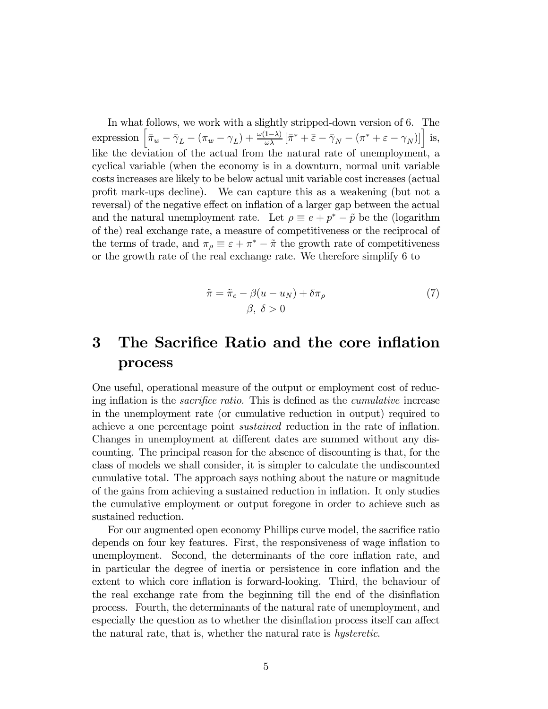In what follows, we work with a slightly stripped-down version of 6. The expression  $\left[\bar{\pi}_w - \bar{\gamma}_L - (\pi_w - \gamma_L) + \frac{\omega(1-\lambda)}{\omega \lambda} [\bar{\pi}^* + \bar{\varepsilon} - \bar{\gamma}_N - (\pi^* + \varepsilon - \gamma_N)]\right]$  is, like the deviation of the actual from the natural rate of unemployment, a cyclical variable (when the economy is in a downturn, normal unit variable costs increases are likely to be below actual unit variable cost increases (actual profit mark-ups decline). We can capture this as a weakening (but not a reversal) of the negative effect on inflation of a larger gap between the actual and the natural unemployment rate. Let  $\rho \equiv e + p^* - \tilde{p}$  be the (logarithm of the) real exchange rate, a measure of competitiveness or the reciprocal of the terms of trade, and  $\pi_{\rho} \equiv \varepsilon + \pi^* - \tilde{\pi}$  the growth rate of competitiveness or the growth rate of the real exchange rate. We therefore simplify 6 to

$$
\tilde{\pi} = \tilde{\pi}_c - \beta(u - u_N) + \delta \pi_\rho \tag{7}
$$
\n
$$
\beta, \ \delta > 0
$$

## 3 The Sacrifice Ratio and the core inflation process

One useful, operational measure of the output or employment cost of reducing inflation is the sacrifice ratio. This is defined as the cumulative increase in the unemployment rate (or cumulative reduction in output) required to achieve a one percentage point sustained reduction in the rate of inflation. Changes in unemployment at different dates are summed without any discounting. The principal reason for the absence of discounting is that, for the class of models we shall consider, it is simpler to calculate the undiscounted cumulative total. The approach says nothing about the nature or magnitude of the gains from achieving a sustained reduction in inflation. It only studies the cumulative employment or output foregone in order to achieve such as sustained reduction.

For our augmented open economy Phillips curve model, the sacrifice ratio depends on four key features. First, the responsiveness of wage inflation to unemployment. Second, the determinants of the core inflation rate, and in particular the degree of inertia or persistence in core inflation and the extent to which core inflation is forward-looking. Third, the behaviour of the real exchange rate from the beginning till the end of the disinflation process. Fourth, the determinants of the natural rate of unemployment, and especially the question as to whether the disinflation process itself can affect the natural rate, that is, whether the natural rate is hysteretic.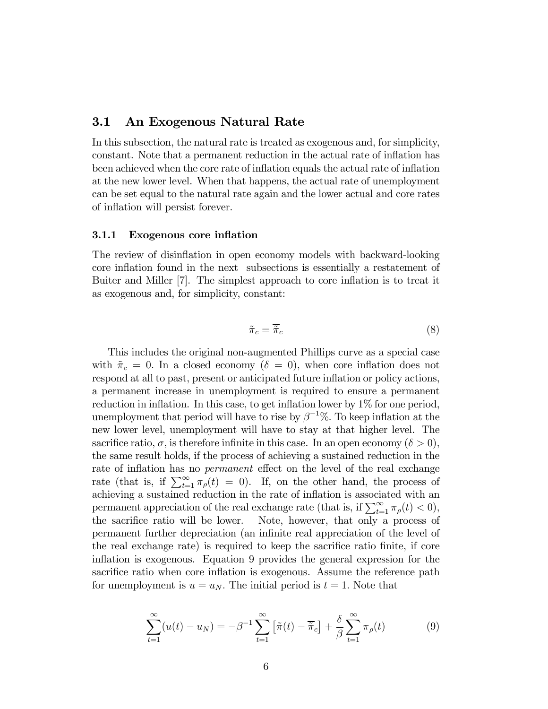#### 3.1 An Exogenous Natural Rate

In this subsection, the natural rate is treated as exogenous and, for simplicity, constant. Note that a permanent reduction in the actual rate of inflation has been achieved when the core rate of inflation equals the actual rate of inflation at the new lower level. When that happens, the actual rate of unemployment can be set equal to the natural rate again and the lower actual and core rates of inflation will persist forever.

#### 3.1.1 Exogenous core inflation

The review of disinflation in open economy models with backward-looking core inflation found in the next subsections is essentially a restatement of Buiter and Miller [7]. The simplest approach to core inflation is to treat it as exogenous and, for simplicity, constant:

$$
\tilde{\pi}_c = \overline{\tilde{\pi}}_c \tag{8}
$$

This includes the original non-augmented Phillips curve as a special case with  $\tilde{\pi}_c = 0$ . In a closed economy  $(\delta = 0)$ , when core inflation does not respond at all to past, present or anticipated future inflation or policy actions, a permanent increase in unemployment is required to ensure a permanent reduction in inflation. In this case, to get inflation lower by  $1\%$  for one period, unemployment that period will have to rise by  $\beta^{-1}\%$ . To keep inflation at the new lower level, unemployment will have to stay at that higher level. The sacrifice ratio,  $\sigma$ , is therefore infinite in this case. In an open economy  $(\delta > 0)$ , the same result holds, if the process of achieving a sustained reduction in the rate of inflation has no permanent effect on the level of the real exchange rate (that is, if  $\sum_{t=1}^{\infty} \pi_{\rho}(t) = 0$ ). If, on the other hand, the process of achieving a sustained reduction in the rate of inflation is associated with an permanent appreciation of the real exchange rate (that is, if  $\sum_{t=1}^{\infty} \pi_{\rho}(t) < 0$ ), the sacrifice ratio will be lower. Note, however, that only a process of permanent further depreciation (an infinite real appreciation of the level of the real exchange rate) is required to keep the sacrifice ratio finite, if core inflation is exogenous. Equation 9 provides the general expression for the sacrifice ratio when core inflation is exogenous. Assume the reference path for unemployment is  $u = u_N$ . The initial period is  $t = 1$ . Note that

$$
\sum_{t=1}^{\infty} (u(t) - u_N) = -\beta^{-1} \sum_{t=1}^{\infty} \left[ \tilde{\pi}(t) - \overline{\tilde{\pi}}_c \right] + \frac{\delta}{\beta} \sum_{t=1}^{\infty} \pi_\rho(t)
$$
(9)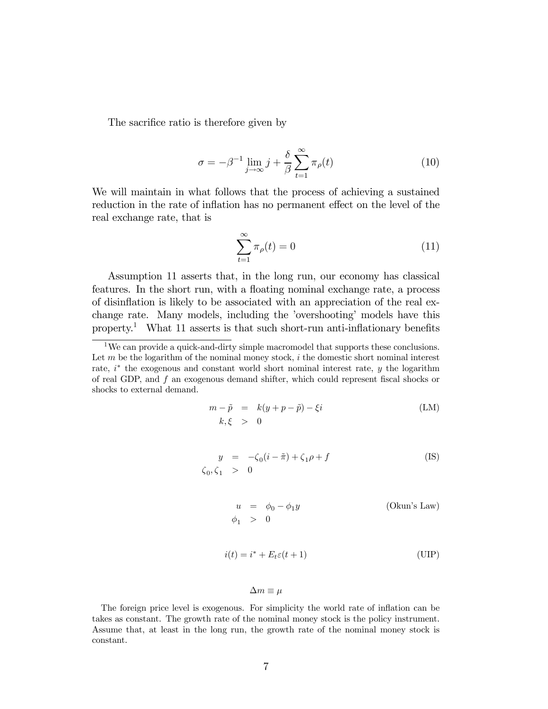The sacrifice ratio is therefore given by

$$
\sigma = -\beta^{-1} \lim_{j \to \infty} j + \frac{\delta}{\beta} \sum_{t=1}^{\infty} \pi_{\rho}(t)
$$
\n(10)

We will maintain in what follows that the process of achieving a sustained reduction in the rate of inflation has no permanent effect on the level of the real exchange rate, that is

$$
\sum_{t=1}^{\infty} \pi_{\rho}(t) = 0 \tag{11}
$$

Assumption 11 asserts that, in the long run, our economy has classical features. In the short run, with a floating nominal exchange rate, a process of disinflation is likely to be associated with an appreciation of the real exchange rate. Many models, including the 'overshooting' models have this property.<sup>1</sup> What 11 asserts is that such short-run anti-inflationary benefits

$$
m - \tilde{p} = k(y + p - \tilde{p}) - \xi i
$$
  
\n
$$
k, \xi > 0
$$
 (LM)

$$
y = -\zeta_0(i - \tilde{\pi}) + \zeta_1 \rho + f
$$
 (IS)  

$$
\zeta_0, \zeta_1 > 0
$$

$$
u = \phi_0 - \phi_1 y
$$
 (Okun's Law)  
\n
$$
\phi_1 > 0
$$

$$
i(t) = i^* + E_t \varepsilon(t+1)
$$
 (UIP)

$$
\Delta m \equiv \mu
$$

The foreign price level is exogenous. For simplicity the world rate of inflation can be takes as constant. The growth rate of the nominal money stock is the policy instrument. Assume that, at least in the long run, the growth rate of the nominal money stock is constant.

 $1$ We can provide a quick-and-dirty simple macromodel that supports these conclusions. Let  $m$  be the logarithm of the nominal money stock,  $i$  the domestic short nominal interest rate,  $i^*$  the exogenous and constant world short nominal interest rate, y the logarithm of real GDP, and f an exogenous demand shifter, which could represent fiscal shocks or shocks to external demand.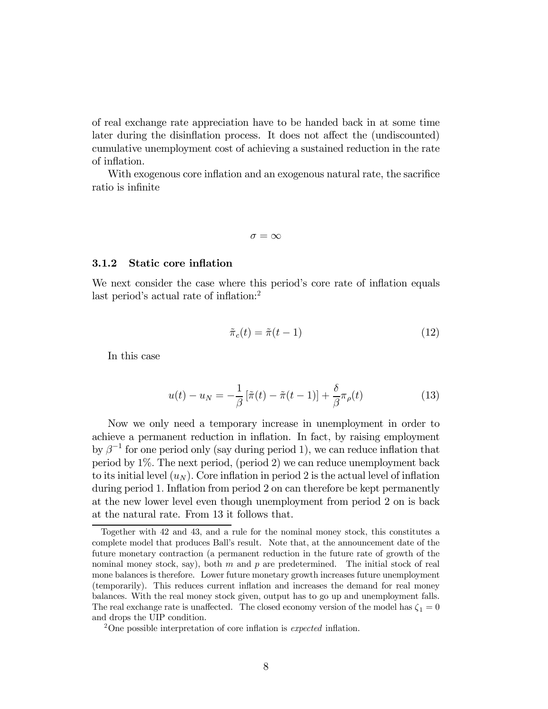of real exchange rate appreciation have to be handed back in at some time later during the disinflation process. It does not affect the (undiscounted) cumulative unemployment cost of achieving a sustained reduction in the rate of inflation.

With exogenous core inflation and an exogenous natural rate, the sacrifice ratio is infinite

$$
\sigma = \infty
$$

#### 3.1.2 Static core inflation

We next consider the case where this period's core rate of inflation equals last period's actual rate of inflation:<sup>2</sup>

$$
\tilde{\pi}_c(t) = \tilde{\pi}(t-1) \tag{12}
$$

In this case

$$
u(t) - u_N = -\frac{1}{\beta} \left[ \tilde{\pi}(t) - \tilde{\pi}(t-1) \right] + \frac{\delta}{\beta} \pi_\rho(t)
$$
\n(13)

Now we only need a temporary increase in unemployment in order to achieve a permanent reduction in inflation. In fact, by raising employment by  $\beta^{-1}$  for one period only (say during period 1), we can reduce inflation that period by  $1\%$ . The next period, (period 2) we can reduce unemployment back to its initial level  $(u_N)$ . Core inflation in period 2 is the actual level of inflation during period 1. Inflation from period 2 on can therefore be kept permanently at the new lower level even though unemployment from period 2 on is back at the natural rate. From 13 it follows that.

Together with 42 and 43, and a rule for the nominal money stock, this constitutes a complete model that produces Ball's result. Note that, at the announcement date of the future monetary contraction (a permanent reduction in the future rate of growth of the nominal money stock, say), both m and p are predetermined. The initial stock of real mone balances is therefore. Lower future monetary growth increases future unemployment (temporarily). This reduces current inflation and increases the demand for real money balances. With the real money stock given, output has to go up and unemployment falls. The real exchange rate is unaffected. The closed economy version of the model has  $\zeta_1 = 0$ and drops the UIP condition.

<sup>2</sup>One possible interpretation of core inflation is expected inflation.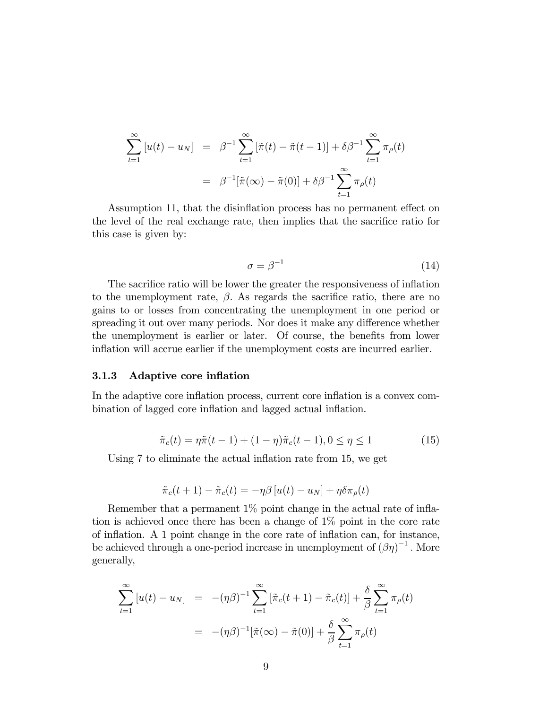$$
\sum_{t=1}^{\infty} \left[ u(t) - u_N \right] = \beta^{-1} \sum_{t=1}^{\infty} \left[ \tilde{\pi}(t) - \tilde{\pi}(t-1) \right] + \delta \beta^{-1} \sum_{t=1}^{\infty} \pi_{\rho}(t)
$$

$$
= \beta^{-1} \left[ \tilde{\pi}(\infty) - \tilde{\pi}(0) \right] + \delta \beta^{-1} \sum_{t=1}^{\infty} \pi_{\rho}(t)
$$

Assumption 11, that the disinflation process has no permanent effect on the level of the real exchange rate, then implies that the sacrifice ratio for this case is given by:

$$
\sigma = \beta^{-1} \tag{14}
$$

The sacrifice ratio will be lower the greater the responsiveness of inflation to the unemployment rate,  $\beta$ . As regards the sacrifice ratio, there are no gains to or losses from concentrating the unemployment in one period or spreading it out over many periods. Nor does it make any difference whether the unemployment is earlier or later. Of course, the benefits from lower inflation will accrue earlier if the unemployment costs are incurred earlier.

#### 3.1.3 Adaptive core inflation

In the adaptive core inflation process, current core inflation is a convex combination of lagged core inflation and lagged actual inflation.

$$
\tilde{\pi}_c(t) = \eta \tilde{\pi}(t-1) + (1-\eta)\tilde{\pi}_c(t-1), 0 \le \eta \le 1
$$
\n(15)

Using 7 to eliminate the actual inflation rate from 15, we get

$$
\tilde{\pi}_c(t+1) - \tilde{\pi}_c(t) = -\eta \beta \left[ u(t) - u_N \right] + \eta \delta \pi_\rho(t)
$$

Remember that a permanent 1% point change in the actual rate of inflation is achieved once there has been a change of 1% point in the core rate of inflation. A 1 point change in the core rate of inflation can, for instance, be achieved through a one-period increase in unemployment of  $(\beta \eta)^{-1}$ . More generally,

$$
\sum_{t=1}^{\infty} \left[ u(t) - u_N \right] = -(\eta \beta)^{-1} \sum_{t=1}^{\infty} \left[ \tilde{\pi}_c(t+1) - \tilde{\pi}_c(t) \right] + \frac{\delta}{\beta} \sum_{t=1}^{\infty} \pi_\rho(t)
$$

$$
= -(\eta \beta)^{-1} \left[ \tilde{\pi}(\infty) - \tilde{\pi}(0) \right] + \frac{\delta}{\beta} \sum_{t=1}^{\infty} \pi_\rho(t)
$$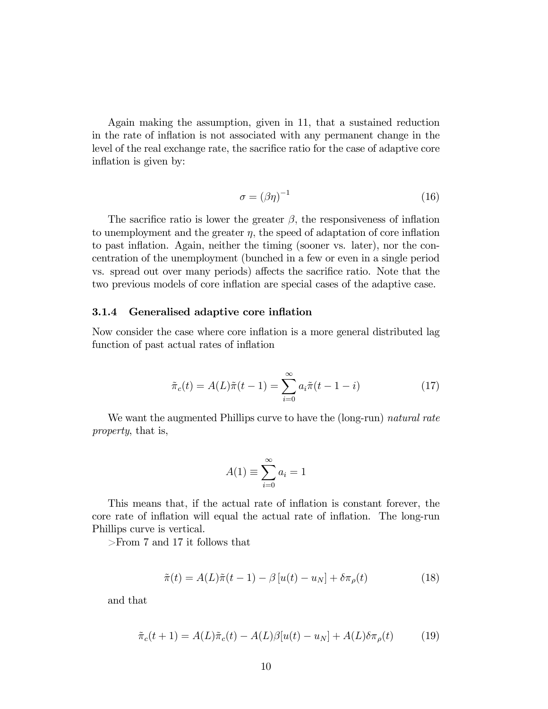Again making the assumption, given in 11, that a sustained reduction in the rate of inflation is not associated with any permanent change in the level of the real exchange rate, the sacrifice ratio for the case of adaptive core inflation is given by:

$$
\sigma = (\beta \eta)^{-1} \tag{16}
$$

The sacrifice ratio is lower the greater  $\beta$ , the responsiveness of inflation to unemployment and the greater  $\eta$ , the speed of adaptation of core inflation to past inflation. Again, neither the timing (sooner vs. later), nor the concentration of the unemployment (bunched in a few or even in a single period vs. spread out over many periods) affects the sacrifice ratio. Note that the two previous models of core inflation are special cases of the adaptive case.

#### 3.1.4 Generalised adaptive core inflation

Now consider the case where core inflation is a more general distributed lag function of past actual rates of inflation

$$
\tilde{\pi}_c(t) = A(L)\tilde{\pi}(t-1) = \sum_{i=0}^{\infty} a_i \tilde{\pi}(t-1-i)
$$
\n(17)

We want the augmented Phillips curve to have the (long-run) natural rate property, that is,

$$
A(1) \equiv \sum_{i=0}^{\infty} a_i = 1
$$

This means that, if the actual rate of inflation is constant forever, the core rate of inflation will equal the actual rate of inflation. The long-run Phillips curve is vertical.

>From 7 and 17 it follows that

$$
\tilde{\pi}(t) = A(L)\tilde{\pi}(t-1) - \beta[u(t) - u_N] + \delta\pi_\rho(t)
$$
\n(18)

and that

$$
\tilde{\pi}_c(t+1) = A(L)\tilde{\pi}_c(t) - A(L)\beta[u(t) - u_N] + A(L)\delta\pi_\rho(t) \tag{19}
$$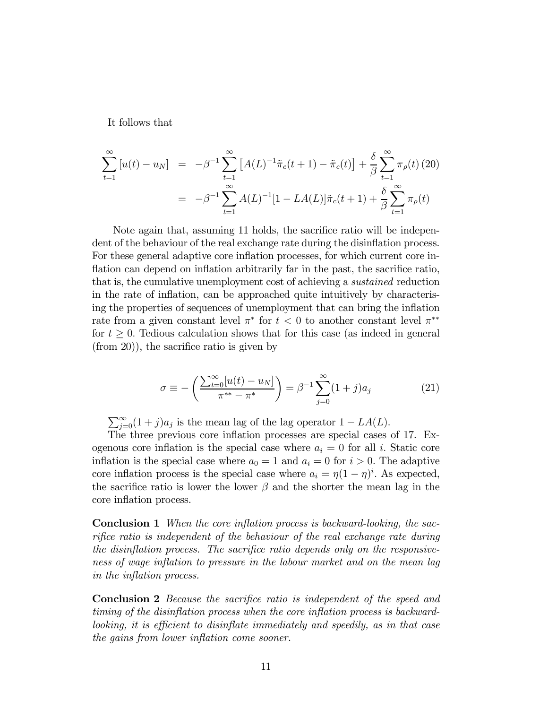It follows that

$$
\sum_{t=1}^{\infty} [u(t) - u_N] = -\beta^{-1} \sum_{t=1}^{\infty} [A(L)^{-1} \tilde{\pi}_c(t+1) - \tilde{\pi}_c(t)] + \frac{\delta}{\beta} \sum_{t=1}^{\infty} \pi_{\rho}(t) (20)
$$

$$
= -\beta^{-1} \sum_{t=1}^{\infty} A(L)^{-1} [1 - LA(L)] \tilde{\pi}_c(t+1) + \frac{\delta}{\beta} \sum_{t=1}^{\infty} \pi_{\rho}(t)
$$

Note again that, assuming 11 holds, the sacrifice ratio will be independent of the behaviour of the real exchange rate during the disinflation process. For these general adaptive core inflation processes, for which current core inflation can depend on inflation arbitrarily far in the past, the sacrifice ratio, that is, the cumulative unemployment cost of achieving a sustained reduction in the rate of inflation, can be approached quite intuitively by characterising the properties of sequences of unemployment that can bring the inflation rate from a given constant level  $\pi^*$  for  $t < 0$  to another constant level  $\pi^{**}$ for  $t \geq 0$ . Tedious calculation shows that for this case (as indeed in general (from 20)), the sacrifice ratio is given by

$$
\sigma \equiv -\left(\frac{\sum_{t=0}^{\infty} [u(t) - u_N]}{\pi^{**} - \pi^*}\right) = \beta^{-1} \sum_{j=0}^{\infty} (1 + j) a_j \tag{21}
$$

 $\sum_{j=0}^{\infty} (1+j)a_j$  is the mean lag of the lag operator  $1 - LA(L)$ .

The three previous core inflation processes are special cases of 17. Exogenous core inflation is the special case where  $a_i = 0$  for all i. Static core inflation is the special case where  $a_0 = 1$  and  $a_i = 0$  for  $i > 0$ . The adaptive core inflation process is the special case where  $a_i = \eta (1 - \eta)^i$ . As expected, the sacrifice ratio is lower the lower  $\beta$  and the shorter the mean lag in the core inflation process.

Conclusion 1 When the core inflation process is backward-looking, the sacrifice ratio is independent of the behaviour of the real exchange rate during the disinflation process. The sacrifice ratio depends only on the responsiveness of wage inflation to pressure in the labour market and on the mean lag in the inflation process.

Conclusion 2 Because the sacrifice ratio is independent of the speed and timing of the disinflation process when the core inflation process is backwardlooking, it is efficient to disinflate immediately and speedily, as in that case the gains from lower inflation come sooner.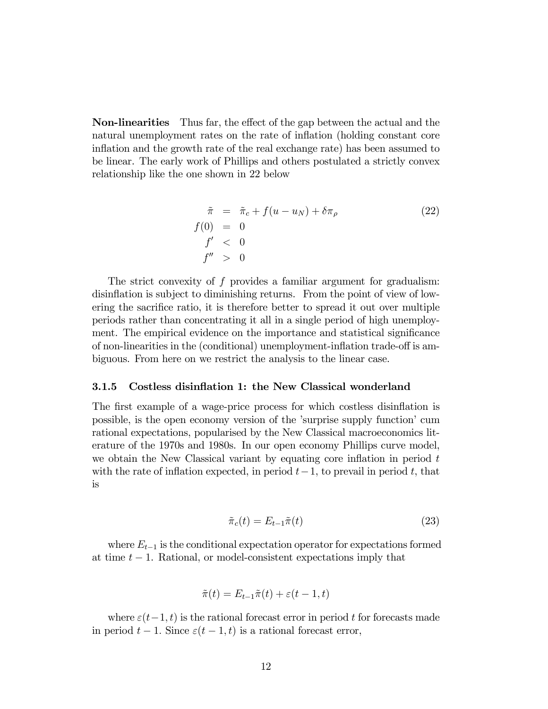Non-linearities Thus far, the effect of the gap between the actual and the natural unemployment rates on the rate of inflation (holding constant core inflation and the growth rate of the real exchange rate) has been assumed to be linear. The early work of Phillips and others postulated a strictly convex relationship like the one shown in 22 below

$$
\begin{aligned}\n\tilde{\pi} &= \tilde{\pi}_c + f(u - u_N) + \delta \pi_\rho \\
f(0) &= 0 \\
f' < 0 \\
f'' > 0\n\end{aligned} \tag{22}
$$

The strict convexity of  $f$  provides a familiar argument for gradualism: disinflation is subject to diminishing returns. From the point of view of lowering the sacrifice ratio, it is therefore better to spread it out over multiple periods rather than concentrating it all in a single period of high unemployment. The empirical evidence on the importance and statistical significance of non-linearities in the (conditional) unemployment-inflation trade-off is ambiguous. From here on we restrict the analysis to the linear case.

#### 3.1.5 Costless disinflation 1: the New Classical wonderland

The first example of a wage-price process for which costless disinflation is possible, is the open economy version of the 'surprise supply function' cum rational expectations, popularised by the New Classical macroeconomics literature of the 1970s and 1980s. In our open economy Phillips curve model, we obtain the New Classical variant by equating core inflation in period  $t$ with the rate of inflation expected, in period  $t-1$ , to prevail in period t, that is

$$
\tilde{\pi}_c(t) = E_{t-1}\tilde{\pi}(t) \tag{23}
$$

where  $E_{t-1}$  is the conditional expectation operator for expectations formed at time  $t - 1$ . Rational, or model-consistent expectations imply that

$$
\tilde{\pi}(t) = E_{t-1}\tilde{\pi}(t) + \varepsilon(t-1,t)
$$

where  $\varepsilon(t-1, t)$  is the rational forecast error in period t for forecasts made in period  $t - 1$ . Since  $\varepsilon(t - 1, t)$  is a rational forecast error,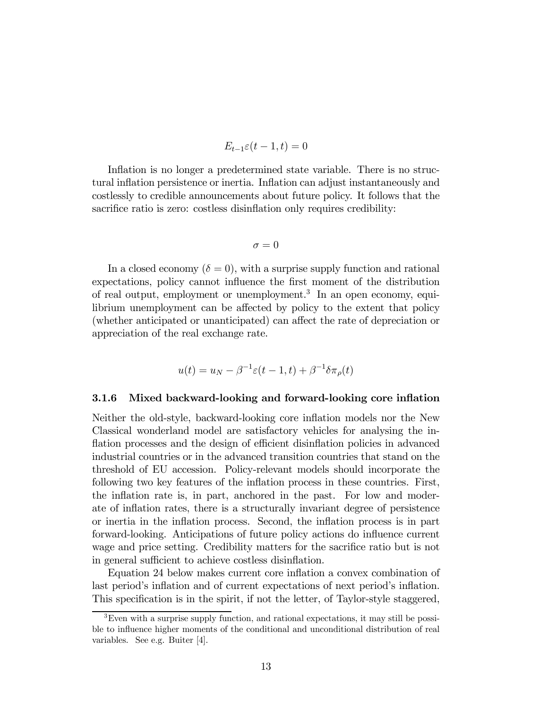$$
E_{t-1}\varepsilon(t-1,t)=0
$$

Inflation is no longer a predetermined state variable. There is no structural inflation persistence or inertia. Inflation can adjust instantaneously and costlessly to credible announcements about future policy. It follows that the sacrifice ratio is zero: costless disinflation only requires credibility:

$$
\sigma = 0
$$

In a closed economy  $(\delta = 0)$ , with a surprise supply function and rational expectations, policy cannot influence the first moment of the distribution of real output, employment or unemployment.<sup>3</sup> In an open economy, equilibrium unemployment can be affected by policy to the extent that policy (whether anticipated or unanticipated) can affect the rate of depreciation or appreciation of the real exchange rate.

$$
u(t) = u_N - \beta^{-1} \varepsilon (t - 1, t) + \beta^{-1} \delta \pi_\rho(t)
$$

#### 3.1.6 Mixed backward-looking and forward-looking core inflation

Neither the old-style, backward-looking core inflation models nor the New Classical wonderland model are satisfactory vehicles for analysing the inflation processes and the design of efficient disinflation policies in advanced industrial countries or in the advanced transition countries that stand on the threshold of EU accession. Policy-relevant models should incorporate the following two key features of the inflation process in these countries. First, the inflation rate is, in part, anchored in the past. For low and moderate of inflation rates, there is a structurally invariant degree of persistence or inertia in the inflation process. Second, the inflation process is in part forward-looking. Anticipations of future policy actions do influence current wage and price setting. Credibility matters for the sacrifice ratio but is not in general sufficient to achieve costless disinflation.

Equation 24 below makes current core inflation a convex combination of last period's inflation and of current expectations of next period's inflation. This specification is in the spirit, if not the letter, of Taylor-style staggered,

<sup>3</sup>Even with a surprise supply function, and rational expectations, it may still be possible to influence higher moments of the conditional and unconditional distribution of real variables. See e.g. Buiter [4].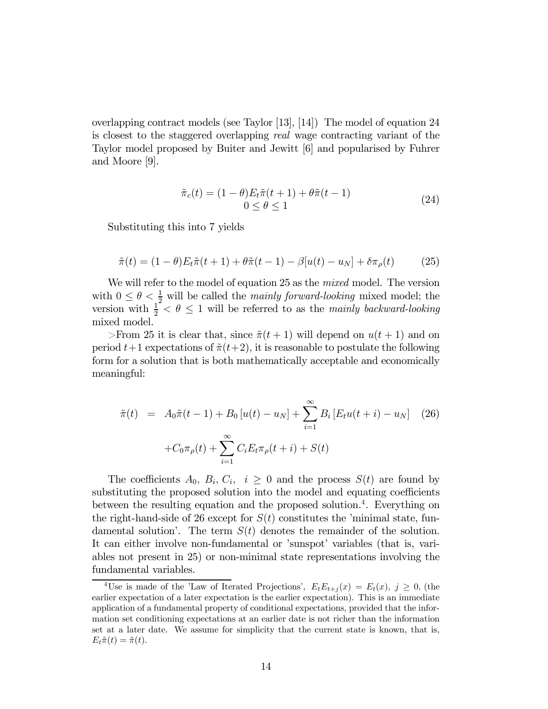overlapping contract models (see Taylor [13], [14]) The model of equation 24 is closest to the staggered overlapping real wage contracting variant of the Taylor model proposed by Buiter and Jewitt [6] and popularised by Fuhrer and Moore [9].

$$
\tilde{\pi}_c(t) = (1 - \theta) E_t \tilde{\pi}(t+1) + \theta \tilde{\pi}(t-1) 0 \le \theta \le 1
$$
\n(24)

Substituting this into 7 yields

$$
\tilde{\pi}(t) = (1 - \theta)E_t \tilde{\pi}(t + 1) + \theta \tilde{\pi}(t - 1) - \beta[u(t) - u_N] + \delta \pi_\rho(t) \tag{25}
$$

We will refer to the model of equation 25 as the *mixed* model. The version with  $0 \leq \theta < \frac{1}{2}$  will be called the mainly forward-looking mixed model; the version with  $\frac{1}{2} < \theta \leq 1$  will be referred to as the mainly backward-looking mixed model.

>From 25 it is clear that, since  $\tilde{\pi}(t+1)$  will depend on  $u(t+1)$  and on period  $t+1$  expectations of  $\tilde{\pi}(t+2)$ , it is reasonable to postulate the following form for a solution that is both mathematically acceptable and economically meaningful:

$$
\tilde{\pi}(t) = A_0 \tilde{\pi}(t-1) + B_0 [u(t) - u_N] + \sum_{i=1}^{\infty} B_i [E_t u(t+i) - u_N] \quad (26)
$$

$$
+ C_0 \pi_\rho(t) + \sum_{i=1}^{\infty} C_i E_t \pi_\rho(t+i) + S(t)
$$

The coefficients  $A_0, B_i, C_i, i \geq 0$  and the process  $S(t)$  are found by substituting the proposed solution into the model and equating coefficients between the resulting equation and the proposed solution.4. Everything on the right-hand-side of 26 except for  $S(t)$  constitutes the 'minimal state, fundamental solution'. The term  $S(t)$  denotes the remainder of the solution. It can either involve non-fundamental or 'sunspot' variables (that is, variables not present in 25) or non-minimal state representations involving the fundamental variables.

<sup>&</sup>lt;sup>4</sup>Use is made of the 'Law of Iterated Projections',  $E_t E_{t+i}(x) = E_t(x)$ ,  $j \ge 0$ , (the earlier expectation of a later expectation is the earlier expectation). This is an immediate application of a fundamental property of conditional expectations, provided that the information set conditioning expectations at an earlier date is not richer than the information set at a later date. We assume for simplicity that the current state is known, that is,  $E_t\tilde{\pi}(t)=\tilde{\pi}(t).$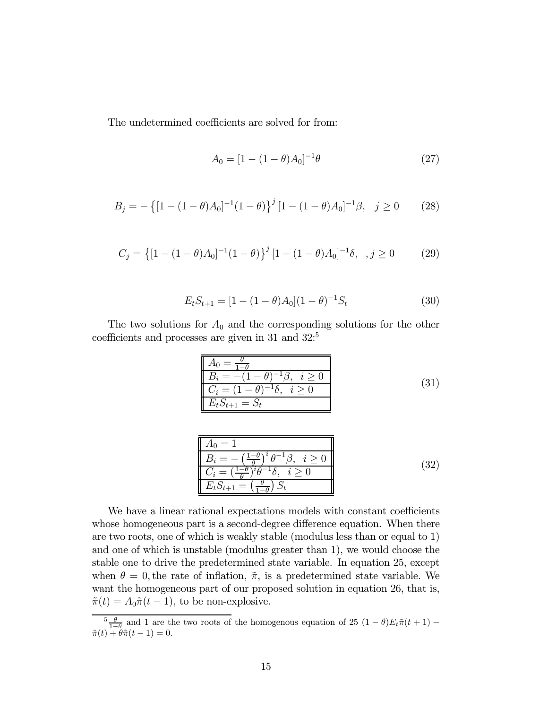The undetermined coefficients are solved for from:

$$
A_0 = [1 - (1 - \theta)A_0]^{-1}\theta
$$
\n(27)

$$
B_j = -\left\{ [1 - (1 - \theta)A_0]^{-1} (1 - \theta) \right\}^j [1 - (1 - \theta)A_0]^{-1} \beta, \quad j \ge 0 \tag{28}
$$

$$
C_j = \left\{ [1 - (1 - \theta)A_0]^{-1} (1 - \theta) \right\}^j [1 - (1 - \theta)A_0]^{-1} \delta, \quad j \ge 0 \tag{29}
$$

$$
E_t S_{t+1} = [1 - (1 - \theta)A_0](1 - \theta)^{-1} S_t
$$
\n(30)

The two solutions for  $A_0$  and the corresponding solutions for the other coefficients and processes are given in 31 and 32:<sup>5</sup>

$$
\begin{array}{|c|}\n\hline\nA_0 = \frac{\theta}{1 - \theta} \\
\hline\nB_i = -(1 - \theta)^{-1} \beta, \quad i \ge 0 \\
\hline\nC_i = (1 - \theta)^{-1} \delta, \quad i \ge 0 \\
E_t S_{t+1} = S_t\n\end{array} \tag{31}
$$

$$
A_0 = 1
$$
  
\n
$$
B_i = -\left(\frac{1-\theta}{\theta}\right)^i \theta^{-1} \beta, \quad i \ge 0
$$
  
\n
$$
C_i = \left(\frac{1-\theta}{\theta}\right)^i \theta^{-1} \delta, \quad i \ge 0
$$
  
\n
$$
E_t S_{t+1} = \left(\frac{\theta}{1-\theta}\right) S_t
$$
 (32)

We have a linear rational expectations models with constant coefficients whose homogeneous part is a second-degree difference equation. When there are two roots, one of which is weakly stable (modulus less than or equal to 1) and one of which is unstable (modulus greater than 1), we would choose the stable one to drive the predetermined state variable. In equation 25, except when  $\theta = 0$ , the rate of inflation,  $\tilde{\pi}$ , is a predetermined state variable. We want the homogeneous part of our proposed solution in equation 26, that is,  $\tilde{\pi}(t) = A_0 \tilde{\pi}(t-1)$ , to be non-explosive.

 $\frac{5}{1-\theta}$  and 1 are the two roots of the homogenous equation of 25  $(1-\theta)E_t\tilde{\pi}(t+1)$  –  $\tilde{\pi}(t) + \theta \tilde{\pi}(t-1) = 0.$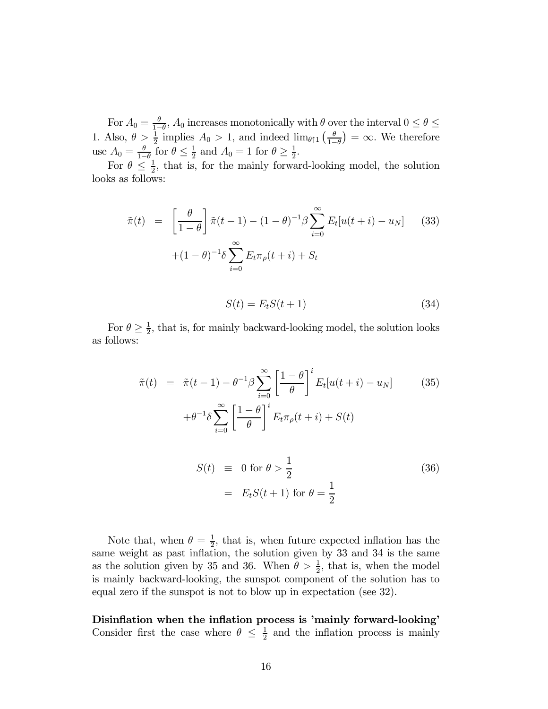For  $A_0 = \frac{\theta}{1-\theta}$ ,  $A_0$  increases monotonically with  $\theta$  over the interval  $0 \le \theta \le$ 1. Also,  $\theta > \frac{1}{2}$  implies  $A_0 > 1$ , and indeed  $\lim_{\theta \uparrow 1} \left( \frac{\theta}{1 - \theta} \right)$  $\left(\frac{\theta}{1-\theta}\right) = \infty$ . We therefore use  $A_0 = \frac{\theta}{1-\theta}$  for  $\theta \le \frac{1}{2}$  and  $A_0 = 1$  for  $\theta \ge \frac{1}{2}$ .

For  $\theta \leq \frac{1}{2}$ , that is, for the mainly forward-looking model, the solution looks as follows:

$$
\tilde{\pi}(t) = \left[\frac{\theta}{1-\theta}\right] \tilde{\pi}(t-1) - (1-\theta)^{-1} \beta \sum_{i=0}^{\infty} E_t[u(t+i) - u_N] \quad (33)
$$

$$
+ (1-\theta)^{-1} \delta \sum_{i=0}^{\infty} E_t \pi_\rho(t+i) + S_t
$$

$$
S(t) = E_t S(t+1) \tag{34}
$$

For  $\theta \geq \frac{1}{2}$ , that is, for mainly backward-looking model, the solution looks as follows:

$$
\tilde{\pi}(t) = \tilde{\pi}(t-1) - \theta^{-1}\beta \sum_{i=0}^{\infty} \left[ \frac{1-\theta}{\theta} \right]^i E_t[u(t+i) - u_N]
$$
(35)  

$$
+ \theta^{-1}\delta \sum_{i=0}^{\infty} \left[ \frac{1-\theta}{\theta} \right]^i E_t \pi_\rho(t+i) + S(t)
$$
  

$$
S(t) \equiv 0 \text{ for } \theta > \frac{1}{2}
$$
(36)  

$$
= E_t S(t+1) \text{ for } \theta = \frac{1}{2}
$$

Note that, when  $\theta = \frac{1}{2}$ , that is, when future expected inflation has the same weight as past inflation, the solution given by 33 and 34 is the same as the solution given by 35 and 36. When  $\theta > \frac{1}{2}$ , that is, when the model is mainly backward-looking, the sunspot component of the solution has to equal zero if the sunspot is not to blow up in expectation (see 32).

Disinflation when the inflation process is 'mainly forward-looking' Consider first the case where  $\theta \leq \frac{1}{2}$  and the inflation process is mainly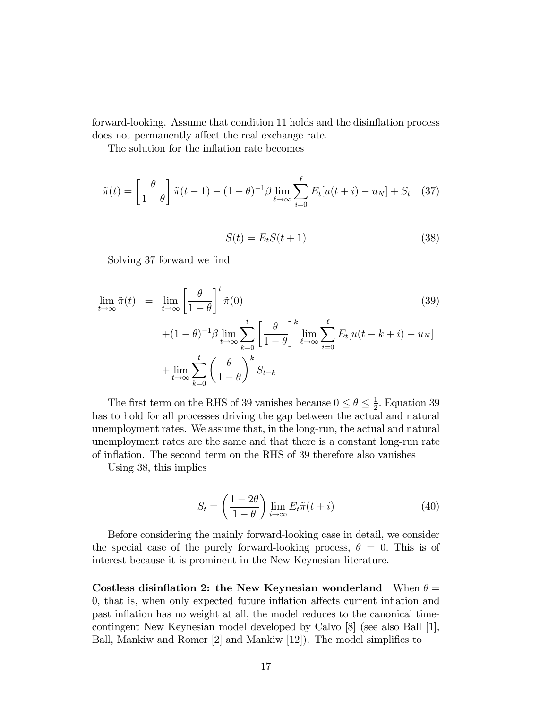forward-looking. Assume that condition 11 holds and the disinflation process does not permanently affect the real exchange rate.

The solution for the inflation rate becomes

$$
\tilde{\pi}(t) = \left[\frac{\theta}{1-\theta}\right] \tilde{\pi}(t-1) - (1-\theta)^{-1} \beta \lim_{\ell \to \infty} \sum_{i=0}^{\ell} E_t[u(t+i) - u_N] + S_t \quad (37)
$$

$$
S(t) = E_t S(t+1) \tag{38}
$$

Solving 37 forward we find

$$
\lim_{t \to \infty} \tilde{\pi}(t) = \lim_{t \to \infty} \left[ \frac{\theta}{1 - \theta} \right]^t \tilde{\pi}(0)
$$
\n
$$
+ (1 - \theta)^{-1} \beta \lim_{t \to \infty} \sum_{k=0}^t \left[ \frac{\theta}{1 - \theta} \right]^k \lim_{\ell \to \infty} \sum_{i=0}^\ell E_t[u(t - k + i) - u_N]
$$
\n
$$
+ \lim_{t \to \infty} \sum_{k=0}^t \left( \frac{\theta}{1 - \theta} \right)^k S_{t-k}
$$
\n(39)

The first term on the RHS of 39 vanishes because  $0 \le \theta \le \frac{1}{2}$ . Equation 39 has to hold for all processes driving the gap between the actual and natural unemployment rates. We assume that, in the long-run, the actual and natural unemployment rates are the same and that there is a constant long-run rate of inflation. The second term on the RHS of 39 therefore also vanishes

Using 38, this implies

$$
S_t = \left(\frac{1 - 2\theta}{1 - \theta}\right) \lim_{i \to \infty} E_t \tilde{\pi}(t + i)
$$
\n(40)

Before considering the mainly forward-looking case in detail, we consider the special case of the purely forward-looking process,  $\theta = 0$ . This is of interest because it is prominent in the New Keynesian literature.

Costless disinflation 2: the New Keynesian wonderland When  $\theta =$ 0, that is, when only expected future inflation affects current inflation and past inflation has no weight at all, the model reduces to the canonical timecontingent New Keynesian model developed by Calvo [8] (see also Ball [1], Ball, Mankiw and Romer [2] and Mankiw [12]). The model simplifies to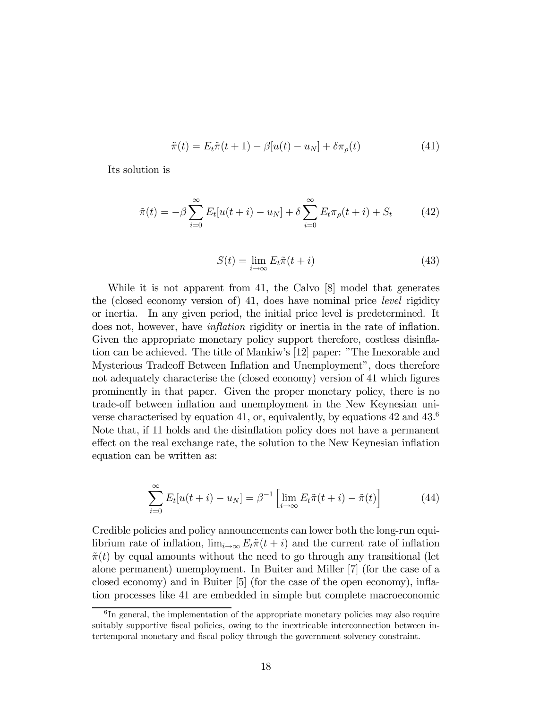$$
\tilde{\pi}(t) = E_t \tilde{\pi}(t+1) - \beta[u(t) - u_N] + \delta \pi_\rho(t)
$$
\n(41)

Its solution is

$$
\tilde{\pi}(t) = -\beta \sum_{i=0}^{\infty} E_t[u(t+i) - u_N] + \delta \sum_{i=0}^{\infty} E_t \pi_\rho(t+i) + S_t \tag{42}
$$

$$
S(t) = \lim_{i \to \infty} E_t \tilde{\pi}(t + i)
$$
\n(43)

While it is not apparent from 41, the Calvo [8] model that generates the (closed economy version of) 41, does have nominal price level rigidity or inertia. In any given period, the initial price level is predetermined. It does not, however, have inflation rigidity or inertia in the rate of inflation. Given the appropriate monetary policy support therefore, costless disinflation can be achieved. The title of Mankiw's [12] paper: "The Inexorable and Mysterious Tradeoff Between Inflation and Unemployment", does therefore not adequately characterise the (closed economy) version of 41 which figures prominently in that paper. Given the proper monetary policy, there is no trade-off between inflation and unemployment in the New Keynesian universe characterised by equation 41, or, equivalently, by equations  $42$  and  $43.6$ Note that, if 11 holds and the disinflation policy does not have a permanent effect on the real exchange rate, the solution to the New Keynesian inflation equation can be written as:

$$
\sum_{i=0}^{\infty} E_t[u(t+i) - u_N] = \beta^{-1} \left[ \lim_{i \to \infty} E_t \tilde{\pi}(t+i) - \tilde{\pi}(t) \right]
$$
(44)

Credible policies and policy announcements can lower both the long-run equilibrium rate of inflation,  $\lim_{i\to\infty} E_t \tilde{\pi}(t+i)$  and the current rate of inflation  $\tilde{\pi}(t)$  by equal amounts without the need to go through any transitional (let alone permanent) unemployment. In Buiter and Miller [7] (for the case of a closed economy) and in Buiter [5] (for the case of the open economy), inflation processes like 41 are embedded in simple but complete macroeconomic

 ${}^{6}$ In general, the implementation of the appropriate monetary policies may also require suitably supportive fiscal policies, owing to the inextricable interconnection between intertemporal monetary and fiscal policy through the government solvency constraint.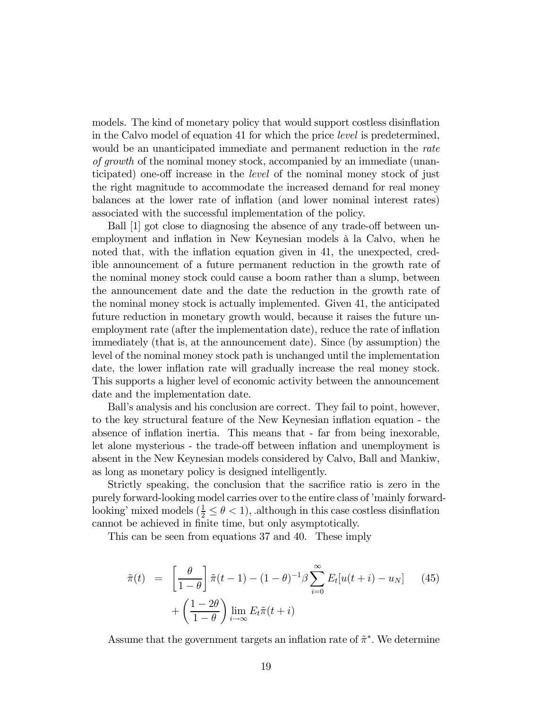models. The kind of monetary policy that would support costless disinflation in the Calvo model of equation 41 for which the price level is predetermined, would be an unanticipated immediate and permanent reduction in the *rate* of growth of the nominal money stock, accompanied by an immediate (unanticipated) one-off increase in the level of the nominal money stock of just the right magnitude to accommodate the increased demand for real money balances at the lower rate of inflation (and lower nominal interest rates) associated with the successful implementation of the policy.

Ball [1] got close to diagnosing the absence of any trade-off between unemployment and inflation in New Keynesian models à la Calvo, when he noted that, with the inflation equation given in 41, the unexpected, credible announcement of a future permanent reduction in the growth rate of the nominal money stock could cause a boom rather than a slump, between the announcement date and the date the reduction in the growth rate of the nominal money stock is actually implemented. Given 41, the anticipated future reduction in monetary growth would, because it raises the future unemployment rate (after the implementation date), reduce the rate of inflation immediately (that is, at the announcement date). Since (by assumption) the level of the nominal money stock path is unchanged until the implementation date, the lower inflation rate will gradually increase the real money stock. This supports a higher level of economic activity between the announcement date and the implementation date.

Ball's analysis and his conclusion are correct. They fail to point, however, to the key structural feature of the New Keynesian inflation equation - the absence of inflation inertia. This means that - far from being inexorable, let alone mysterious - the trade-off between inflation and unemployment is absent in the New Keynesian models considered by Calvo, Ball and Mankiw, as long as monetary policy is designed intelligently.

Strictly speaking, the conclusion that the sacrifice ratio is zero in the purely forward-looking model carries over to the entire class of 'mainly forwardlooking' mixed models  $(\frac{1}{2} \le \theta < 1)$ , although in this case costless disinflation cannot be achieved in finite time, but only asymptotically.

This can be seen from equations 37 and 40. These imply

$$
\tilde{\pi}(t) = \left[\frac{\theta}{1-\theta}\right] \tilde{\pi}(t-1) - (1-\theta)^{-1} \beta \sum_{i=0}^{\infty} E_t[u(t+i) - u_N] \quad (45)
$$

$$
+ \left(\frac{1-2\theta}{1-\theta}\right) \lim_{i \to \infty} E_t \tilde{\pi}(t+i)
$$

Assume that the government targets an inflation rate of  $\tilde{\pi}^*$ . We determine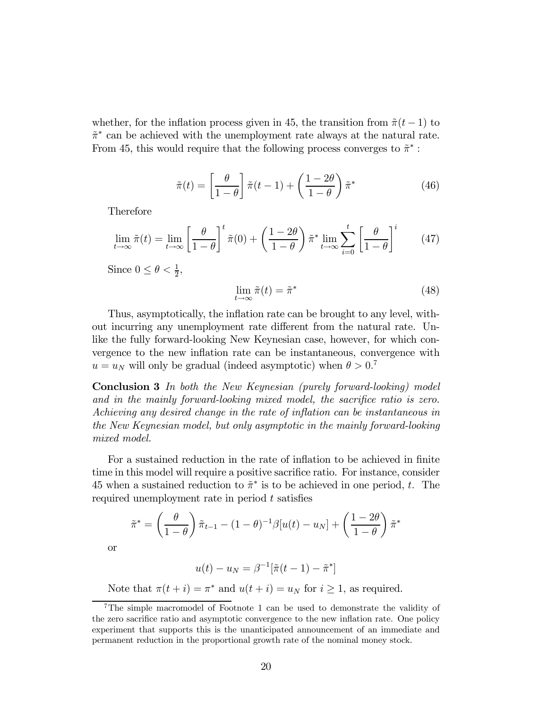whether, for the inflation process given in 45, the transition from  $\tilde{\pi}(t-1)$  to  $\tilde{\pi}^*$  can be achieved with the unemployment rate always at the natural rate. From 45, this would require that the following process converges to  $\tilde{\pi}^*$ :

$$
\tilde{\pi}(t) = \left[\frac{\theta}{1-\theta}\right] \tilde{\pi}(t-1) + \left(\frac{1-2\theta}{1-\theta}\right) \tilde{\pi}^*
$$
\n(46)

Therefore

$$
\lim_{t \to \infty} \tilde{\pi}(t) = \lim_{t \to \infty} \left[ \frac{\theta}{1 - \theta} \right]^t \tilde{\pi}(0) + \left( \frac{1 - 2\theta}{1 - \theta} \right) \tilde{\pi}^* \lim_{t \to \infty} \sum_{i=0}^t \left[ \frac{\theta}{1 - \theta} \right]^i \tag{47}
$$

Since  $0 \leq \theta < \frac{1}{2}$ ,

$$
\lim_{t \to \infty} \tilde{\pi}(t) = \tilde{\pi}^*
$$
\n(48)

Thus, asymptotically, the inflation rate can be brought to any level, without incurring any unemployment rate different from the natural rate. Unlike the fully forward-looking New Keynesian case, however, for which convergence to the new inflation rate can be instantaneous, convergence with  $u = u_N$  will only be gradual (indeed asymptotic) when  $\theta > 0$ .<sup>7</sup>

Conclusion 3 In both the New Keynesian (purely forward-looking) model and in the mainly forward-looking mixed model, the sacrifice ratio is zero. Achieving any desired change in the rate of inflation can be instantaneous in the New Keynesian model, but only asymptotic in the mainly forward-looking mixed model.

For a sustained reduction in the rate of inflation to be achieved in finite time in this model will require a positive sacrifice ratio. For instance, consider 45 when a sustained reduction to  $\tilde{\pi}^*$  is to be achieved in one period, t. The required unemployment rate in period  $t$  satisfies

$$
\tilde{\pi}^* = \left(\frac{\theta}{1-\theta}\right) \tilde{\pi}_{t-1} - (1-\theta)^{-1} \beta[u(t) - u_N] + \left(\frac{1-2\theta}{1-\theta}\right) \tilde{\pi}^*
$$

or

$$
u(t) - u_N = \beta^{-1} [\tilde{\pi}(t-1) - \tilde{\pi}^*]
$$

Note that  $\pi(t + i) = \pi^*$  and  $u(t + i) = u_N$  for  $i \ge 1$ , as required.

<sup>7</sup>The simple macromodel of Footnote 1 can be used to demonstrate the validity of the zero sacrifice ratio and asymptotic convergence to the new inflation rate. One policy experiment that supports this is the unanticipated announcement of an immediate and permanent reduction in the proportional growth rate of the nominal money stock.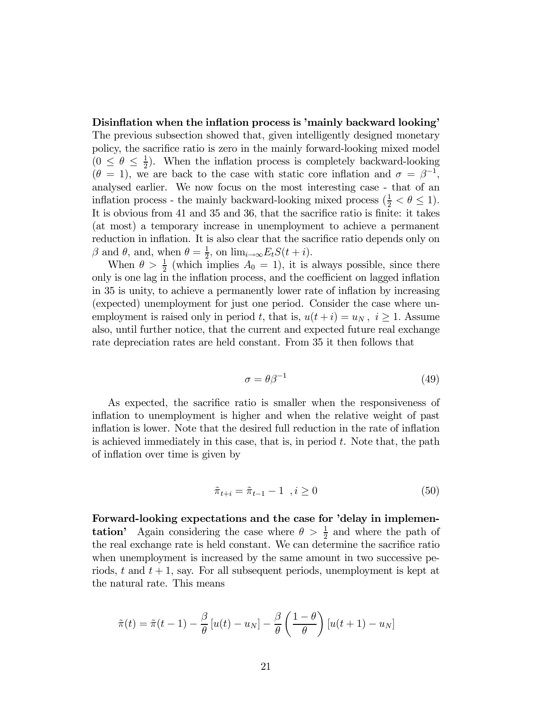Disinflation when the inflation process is 'mainly backward looking' The previous subsection showed that, given intelligently designed monetary policy, the sacrifice ratio is zero in the mainly forward-looking mixed model  $(0 \le \theta \le \frac{1}{2})$ . When the inflation process is completely backward-looking  $(\theta = 1)$ , we are back to the case with static core inflation and  $\sigma = \beta^{-1}$ , analysed earlier. We now focus on the most interesting case - that of an inflation process - the mainly backward-looking mixed process  $(\frac{1}{2} < \theta \le 1)$ . It is obvious from 41 and 35 and 36, that the sacrifice ratio is finite: it takes (at most) a temporary increase in unemployment to achieve a permanent reduction in inflation. It is also clear that the sacrifice ratio depends only on β and θ, and, when  $θ = \frac{1}{2}$ , on  $\lim_{i \to \infty} E_t S(t + i)$ .

When  $\theta > \frac{1}{2}$  (which implies  $A_0 = 1$ ), it is always possible, since there only is one lag in the inflation process, and the coefficient on lagged inflation in 35 is unity, to achieve a permanently lower rate of inflation by increasing (expected) unemployment for just one period. Consider the case where unemployment is raised only in period t, that is,  $u(t + i) = u_N$ ,  $i \ge 1$ . Assume also, until further notice, that the current and expected future real exchange rate depreciation rates are held constant. From 35 it then follows that

$$
\sigma = \theta \beta^{-1} \tag{49}
$$

As expected, the sacrifice ratio is smaller when the responsiveness of inflation to unemployment is higher and when the relative weight of past inflation is lower. Note that the desired full reduction in the rate of inflation is achieved immediately in this case, that is, in period  $t$ . Note that, the path of inflation over time is given by

$$
\tilde{\pi}_{t+i} = \tilde{\pi}_{t-1} - 1 \quad, i \ge 0 \tag{50}
$$

Forward-looking expectations and the case for 'delay in implemen**tation**' Again considering the case where  $\theta > \frac{1}{2}$  and where the path of the real exchange rate is held constant. We can determine the sacrifice ratio when unemployment is increased by the same amount in two successive periods, t and  $t + 1$ , say. For all subsequent periods, unemployment is kept at the natural rate. This means

$$
\tilde{\pi}(t) = \tilde{\pi}(t-1) - \frac{\beta}{\theta} [u(t) - u_N] - \frac{\beta}{\theta} \left( \frac{1-\theta}{\theta} \right) [u(t+1) - u_N]
$$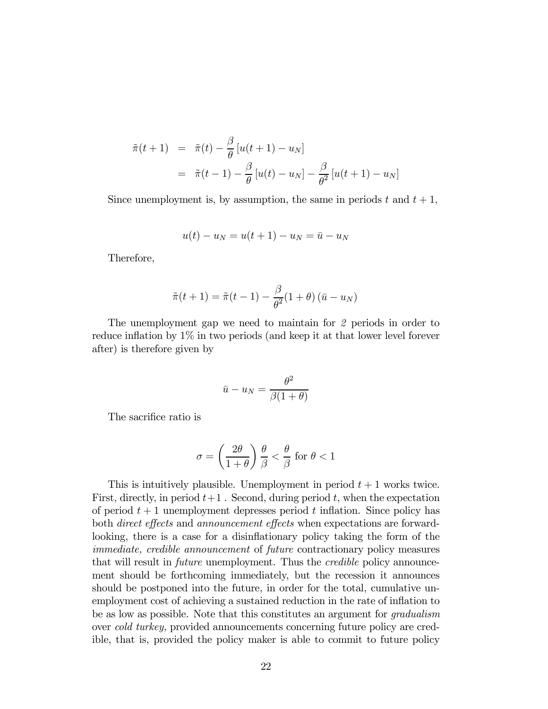$$
\tilde{\pi}(t+1) = \tilde{\pi}(t) - \frac{\beta}{\theta} [u(t+1) - u_N]
$$

$$
= \tilde{\pi}(t-1) - \frac{\beta}{\theta} [u(t) - u_N] - \frac{\beta}{\theta^2} [u(t+1) - u_N]
$$

Since unemployment is, by assumption, the same in periods  $t$  and  $t + 1$ ,

$$
u(t) - u_N = u(t+1) - u_N = \bar{u} - u_N
$$

Therefore,

$$
\tilde{\pi}(t+1) = \tilde{\pi}(t-1) - \frac{\beta}{\theta^2}(1+\theta)\left(\bar{u} - u_N\right)
$$

The unemployment gap we need to maintain for 2 periods in order to reduce inflation by 1% in two periods (and keep it at that lower level forever after) is therefore given by

$$
\bar{u} - u_N = \frac{\theta^2}{\beta(1+\theta)}
$$

The sacrifice ratio is

$$
\sigma = \left(\frac{2\theta}{1+\theta}\right)\frac{\theta}{\beta} < \frac{\theta}{\beta} \text{ for } \theta < 1
$$

This is intuitively plausible. Unemployment in period  $t + 1$  works twice. First, directly, in period  $t+1$ . Second, during period t, when the expectation of period  $t + 1$  unemployment depresses period t inflation. Since policy has both direct effects and announcement effects when expectations are forwardlooking, there is a case for a disinflationary policy taking the form of the immediate, credible announcement of future contractionary policy measures that will result in *future* unemployment. Thus the *credible* policy announcement should be forthcoming immediately, but the recession it announces should be postponed into the future, in order for the total, cumulative unemployment cost of achieving a sustained reduction in the rate of inflation to be as low as possible. Note that this constitutes an argument for gradualism over cold turkey, provided announcements concerning future policy are credible, that is, provided the policy maker is able to commit to future policy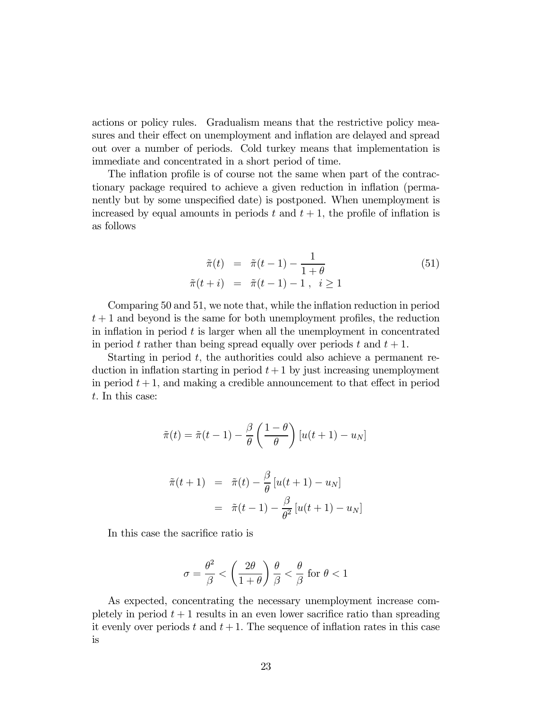actions or policy rules. Gradualism means that the restrictive policy measures and their effect on unemployment and inflation are delayed and spread out over a number of periods. Cold turkey means that implementation is immediate and concentrated in a short period of time.

The inflation profile is of course not the same when part of the contractionary package required to achieve a given reduction in inflation (permanently but by some unspecified date) is postponed. When unemployment is increased by equal amounts in periods t and  $t + 1$ , the profile of inflation is as follows

$$
\tilde{\pi}(t) = \tilde{\pi}(t-1) - \frac{1}{1+\theta} \n\tilde{\pi}(t+i) = \tilde{\pi}(t-1) - 1, \ i \ge 1
$$
\n(51)

Comparing 50 and 51, we note that, while the inflation reduction in period  $t+1$  and beyond is the same for both unemployment profiles, the reduction in inflation in period  $t$  is larger when all the unemployment in concentrated in period t rather than being spread equally over periods t and  $t + 1$ .

Starting in period  $t$ , the authorities could also achieve a permanent reduction in inflation starting in period  $t + 1$  by just increasing unemployment in period  $t + 1$ , and making a credible announcement to that effect in period t. In this case:

$$
\tilde{\pi}(t) = \tilde{\pi}(t-1) - \frac{\beta}{\theta} \left( \frac{1-\theta}{\theta} \right) [u(t+1) - u_N]
$$

$$
\tilde{\pi}(t+1) = \tilde{\pi}(t) - \frac{\beta}{\theta} [u(t+1) - u_N]
$$

$$
= \tilde{\pi}(t-1) - \frac{\beta}{\theta^2} [u(t+1) - u_N]
$$

In this case the sacrifice ratio is

$$
\sigma = \frac{\theta^2}{\beta} < \left(\frac{2\theta}{1+\theta}\right) \frac{\theta}{\beta} < \frac{\theta}{\beta} \text{ for } \theta < 1
$$

As expected, concentrating the necessary unemployment increase completely in period  $t + 1$  results in an even lower sacrifice ratio than spreading it evenly over periods t and  $t + 1$ . The sequence of inflation rates in this case is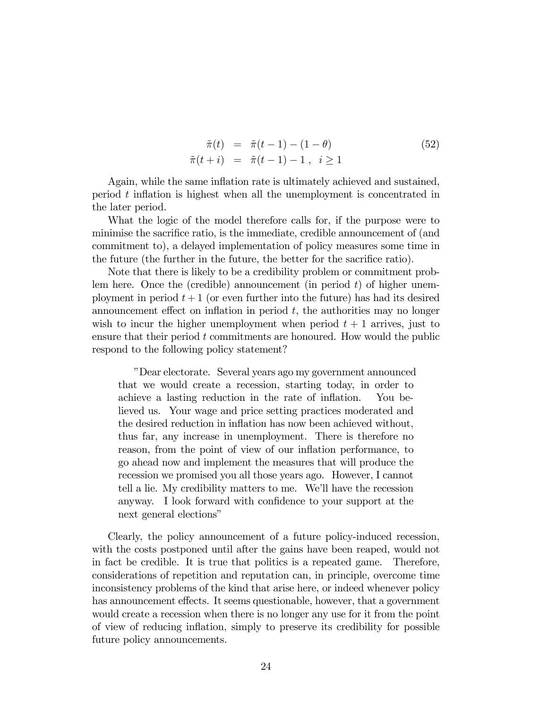$$
\begin{aligned}\n\tilde{\pi}(t) &= \tilde{\pi}(t-1) - (1-\theta) \\
\tilde{\pi}(t+i) &= \tilde{\pi}(t-1) - 1 \,, \quad i \ge 1\n\end{aligned} \tag{52}
$$

Again, while the same inflation rate is ultimately achieved and sustained, period t inflation is highest when all the unemployment is concentrated in the later period.

What the logic of the model therefore calls for, if the purpose were to minimise the sacrifice ratio, is the immediate, credible announcement of (and commitment to), a delayed implementation of policy measures some time in the future (the further in the future, the better for the sacrifice ratio).

Note that there is likely to be a credibility problem or commitment problem here. Once the (credible) announcement (in period  $t$ ) of higher unemployment in period  $t + 1$  (or even further into the future) has had its desired announcement effect on inflation in period  $t$ , the authorities may no longer wish to incur the higher unemployment when period  $t + 1$  arrives, just to ensure that their period  $t$  commitments are honoured. How would the public respond to the following policy statement?

"Dear electorate. Several years ago my government announced that we would create a recession, starting today, in order to achieve a lasting reduction in the rate of inflation. You believed us. Your wage and price setting practices moderated and the desired reduction in inflation has now been achieved without, thus far, any increase in unemployment. There is therefore no reason, from the point of view of our inflation performance, to go ahead now and implement the measures that will produce the recession we promised you all those years ago. However, I cannot tell a lie. My credibility matters to me. We'll have the recession anyway. I look forward with confidence to your support at the next general elections"

Clearly, the policy announcement of a future policy-induced recession, with the costs postponed until after the gains have been reaped, would not in fact be credible. It is true that politics is a repeated game. Therefore, considerations of repetition and reputation can, in principle, overcome time inconsistency problems of the kind that arise here, or indeed whenever policy has announcement effects. It seems questionable, however, that a government would create a recession when there is no longer any use for it from the point of view of reducing inflation, simply to preserve its credibility for possible future policy announcements.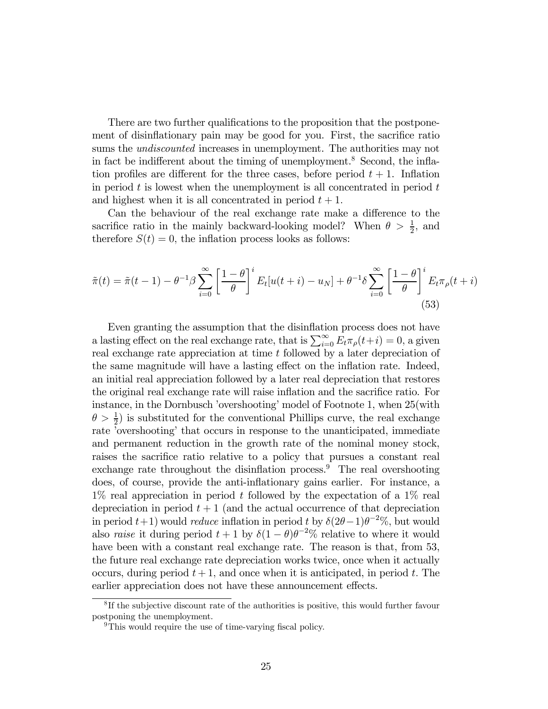There are two further qualifications to the proposition that the postponement of disinflationary pain may be good for you. First, the sacrifice ratio sums the *undiscounted* increases in unemployment. The authorities may not in fact be indifferent about the timing of unemployment.<sup>8</sup> Second, the inflation profiles are different for the three cases, before period  $t + 1$ . Inflation in period  $t$  is lowest when the unemployment is all concentrated in period  $t$ and highest when it is all concentrated in period  $t + 1$ .

Can the behaviour of the real exchange rate make a difference to the sacrifice ratio in the mainly backward-looking model? When  $\theta > \frac{1}{2}$ , and therefore  $S(t)=0$ , the inflation process looks as follows:

$$
\tilde{\pi}(t) = \tilde{\pi}(t-1) - \theta^{-1}\beta \sum_{i=0}^{\infty} \left[ \frac{1-\theta}{\theta} \right]^i E_t[u(t+i) - u_N] + \theta^{-1}\delta \sum_{i=0}^{\infty} \left[ \frac{1-\theta}{\theta} \right]^i E_t \pi_\rho(t+i)
$$
\n(53)

Even granting the assumption that the disinflation process does not have a lasting effect on the real exchange rate, that is  $\sum_{i=0}^{\infty} E_t \pi_\rho(t+i) = 0$ , a given real exchange rate appreciation at time t followed by a later depreciation of the same magnitude will have a lasting effect on the inflation rate. Indeed, an initial real appreciation followed by a later real depreciation that restores the original real exchange rate will raise inflation and the sacrifice ratio. For instance, in the Dornbusch 'overshooting' model of Footnote 1, when 25(with  $\theta > \frac{1}{2}$ ) is substituted for the conventional Phillips curve, the real exchange rate 'overshooting' that occurs in response to the unanticipated, immediate and permanent reduction in the growth rate of the nominal money stock, raises the sacrifice ratio relative to a policy that pursues a constant real exchange rate throughout the disinflation process. $9$  The real overshooting does, of course, provide the anti-inflationary gains earlier. For instance, a  $1\%$  real appreciation in period t followed by the expectation of a  $1\%$  real depreciation in period  $t + 1$  (and the actual occurrence of that depreciation in period  $t+1$ ) would *reduce* inflation in period t by  $\delta(2\theta-1)\theta^{-2}\%$ , but would also raise it during period  $t + 1$  by  $\delta(1 - \theta)\theta^{-2}\%$  relative to where it would have been with a constant real exchange rate. The reason is that, from 53, the future real exchange rate depreciation works twice, once when it actually occurs, during period  $t + 1$ , and once when it is anticipated, in period t. The earlier appreciation does not have these announcement effects.

<sup>&</sup>lt;sup>8</sup>If the subjective discount rate of the authorities is positive, this would further favour postponing the unemployment.

<sup>&</sup>lt;sup>9</sup>This would require the use of time-varying fiscal policy.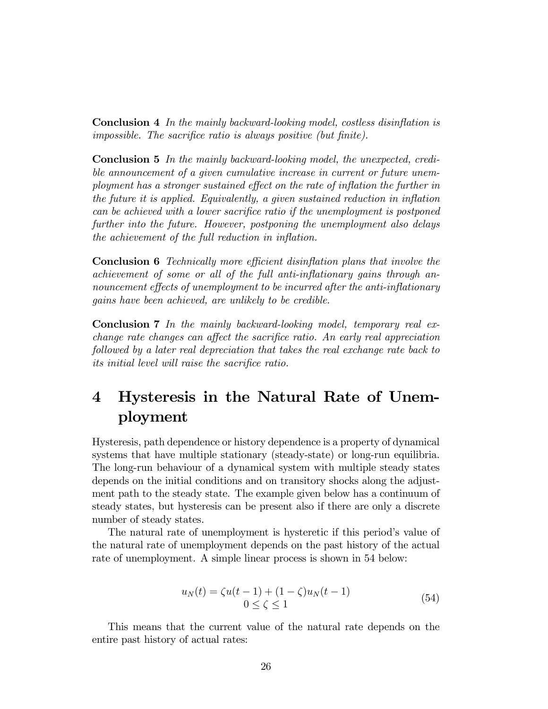Conclusion 4 In the mainly backward-looking model, costless disinflation is impossible. The sacrifice ratio is always positive (but finite).

Conclusion 5 In the mainly backward-looking model, the unexpected, credible announcement of a given cumulative increase in current or future unemployment has a stronger sustained effect on the rate of inflation the further in the future it is applied. Equivalently, a given sustained reduction in inflation can be achieved with a lower sacrifice ratio if the unemployment is postponed further into the future. However, postponing the unemployment also delays the achievement of the full reduction in inflation.

Conclusion 6 Technically more efficient disinflation plans that involve the achievement of some or all of the full anti-inflationary gains through announcement effects of unemployment to be incurred after the anti-inflationary gains have been achieved, are unlikely to be credible.

Conclusion 7 In the mainly backward-looking model, temporary real exchange rate changes can affect the sacrifice ratio. An early real appreciation followed by a later real depreciation that takes the real exchange rate back to its initial level will raise the sacrifice ratio.

# 4 Hysteresis in the Natural Rate of Unemployment

Hysteresis, path dependence or history dependence is a property of dynamical systems that have multiple stationary (steady-state) or long-run equilibria. The long-run behaviour of a dynamical system with multiple steady states depends on the initial conditions and on transitory shocks along the adjustment path to the steady state. The example given below has a continuum of steady states, but hysteresis can be present also if there are only a discrete number of steady states.

The natural rate of unemployment is hysteretic if this period's value of the natural rate of unemployment depends on the past history of the actual rate of unemployment. A simple linear process is shown in 54 below:

$$
u_N(t) = \zeta u(t-1) + (1-\zeta)u_N(t-1)
$$
  
0 \le \zeta \le 1 (54)

This means that the current value of the natural rate depends on the entire past history of actual rates: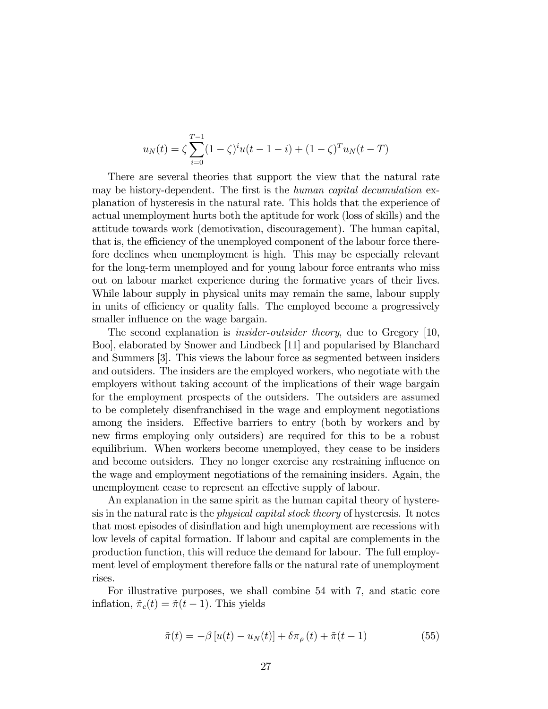$$
u_N(t) = \zeta \sum_{i=0}^{T-1} (1 - \zeta)^i u(t - 1 - i) + (1 - \zeta)^T u_N(t - T)
$$

There are several theories that support the view that the natural rate may be history-dependent. The first is the human capital decumulation explanation of hysteresis in the natural rate. This holds that the experience of actual unemployment hurts both the aptitude for work (loss of skills) and the attitude towards work (demotivation, discouragement). The human capital, that is, the efficiency of the unemployed component of the labour force therefore declines when unemployment is high. This may be especially relevant for the long-term unemployed and for young labour force entrants who miss out on labour market experience during the formative years of their lives. While labour supply in physical units may remain the same, labour supply in units of efficiency or quality falls. The employed become a progressively smaller influence on the wage bargain.

The second explanation is *insider-outsider theory*, due to Gregory [10, Boo], elaborated by Snower and Lindbeck [11] and popularised by Blanchard and Summers [3]. This views the labour force as segmented between insiders and outsiders. The insiders are the employed workers, who negotiate with the employers without taking account of the implications of their wage bargain for the employment prospects of the outsiders. The outsiders are assumed to be completely disenfranchised in the wage and employment negotiations among the insiders. Effective barriers to entry (both by workers and by new firms employing only outsiders) are required for this to be a robust equilibrium. When workers become unemployed, they cease to be insiders and become outsiders. They no longer exercise any restraining influence on the wage and employment negotiations of the remaining insiders. Again, the unemployment cease to represent an effective supply of labour.

An explanation in the same spirit as the human capital theory of hysteresis in the natural rate is the physical capital stock theory of hysteresis. It notes that most episodes of disinflation and high unemployment are recessions with low levels of capital formation. If labour and capital are complements in the production function, this will reduce the demand for labour. The full employment level of employment therefore falls or the natural rate of unemployment rises.

For illustrative purposes, we shall combine 54 with 7, and static core inflation,  $\tilde{\pi}_c(t) = \tilde{\pi}(t - 1)$ . This yields

$$
\tilde{\pi}(t) = -\beta \left[ u(t) - u_N(t) \right] + \delta \pi_\rho(t) + \tilde{\pi}(t-1)
$$
\n(55)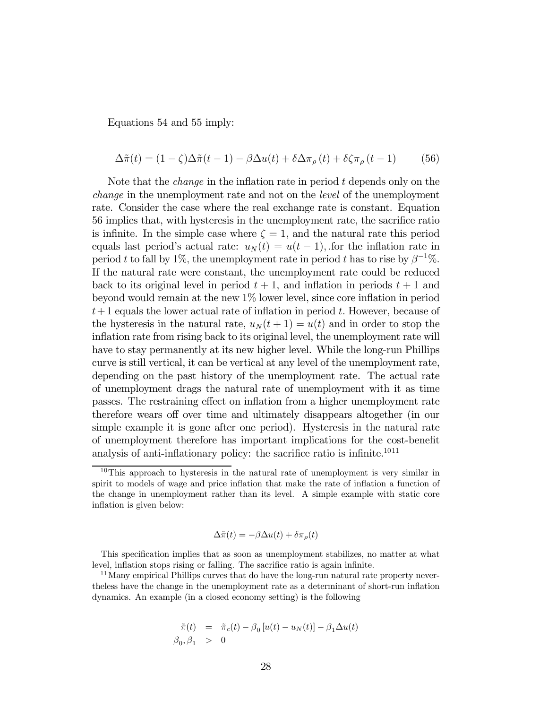Equations 54 and 55 imply:

$$
\Delta \tilde{\pi}(t) = (1 - \zeta)\Delta \tilde{\pi}(t - 1) - \beta \Delta u(t) + \delta \Delta \pi_{\rho}(t) + \delta \zeta \pi_{\rho}(t - 1)
$$
(56)

Note that the *change* in the inflation rate in period  $t$  depends only on the change in the unemployment rate and not on the level of the unemployment rate. Consider the case where the real exchange rate is constant. Equation 56 implies that, with hysteresis in the unemployment rate, the sacrifice ratio is infinite. In the simple case where  $\zeta = 1$ , and the natural rate this period equals last period's actual rate:  $u_N(t) = u(t-1)$ , for the inflation rate in period t to fall by 1%, the unemployment rate in period t has to rise by  $\beta^{-1}\%$ . If the natural rate were constant, the unemployment rate could be reduced back to its original level in period  $t + 1$ , and inflation in periods  $t + 1$  and beyond would remain at the new 1% lower level, since core inflation in period  $t+1$  equals the lower actual rate of inflation in period t. However, because of the hysteresis in the natural rate,  $u_N(t + 1) = u(t)$  and in order to stop the inflation rate from rising back to its original level, the unemployment rate will have to stay permanently at its new higher level. While the long-run Phillips curve is still vertical, it can be vertical at any level of the unemployment rate, depending on the past history of the unemployment rate. The actual rate of unemployment drags the natural rate of unemployment with it as time passes. The restraining effect on inflation from a higher unemployment rate therefore wears off over time and ultimately disappears altogether (in our simple example it is gone after one period). Hysteresis in the natural rate of unemployment therefore has important implications for the cost-benefit analysis of anti-inflationary policy: the sacrifice ratio is infinite.<sup>1011</sup>

$$
\Delta \tilde{\pi}(t) = -\beta \Delta u(t) + \delta \pi_{\rho}(t)
$$

$$
\begin{array}{rcl}\n\tilde{\pi}(t) & = & \tilde{\pi}_c(t) - \beta_0 \left[ u(t) - u_N(t) \right] - \beta_1 \Delta u(t) \\
\beta_0, \beta_1 & > & 0\n\end{array}
$$

<sup>1</sup>0This approach to hysteresis in the natural rate of unemployment is very similar in spirit to models of wage and price inflation that make the rate of inflation a function of the change in unemployment rather than its level. A simple example with static core inflation is given below:

This specification implies that as soon as unemployment stabilizes, no matter at what level, inflation stops rising or falling. The sacrifice ratio is again infinite.

<sup>&</sup>lt;sup>11</sup>Many empirical Phillips curves that do have the long-run natural rate property nevertheless have the change in the unemployment rate as a determinant of short-run inflation dynamics. An example (in a closed economy setting) is the following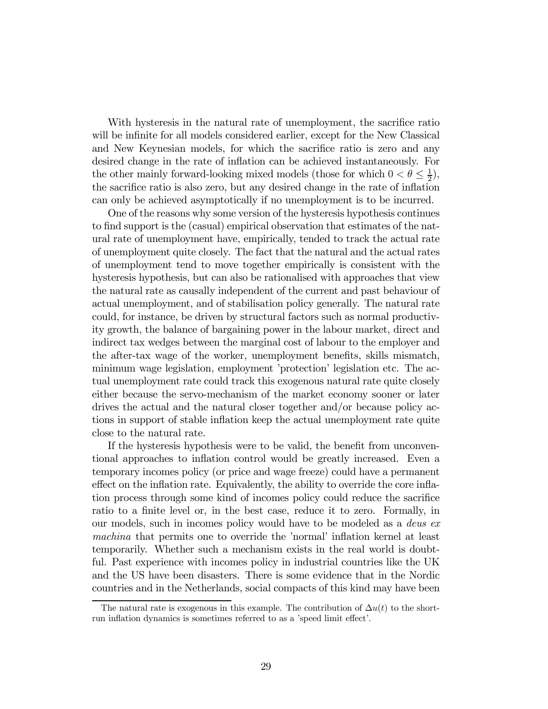With hysteresis in the natural rate of unemployment, the sacrifice ratio will be infinite for all models considered earlier, except for the New Classical and New Keynesian models, for which the sacrifice ratio is zero and any desired change in the rate of inflation can be achieved instantaneously. For the other mainly forward-looking mixed models (those for which  $0 < \theta \leq \frac{1}{2}$ ), the sacrifice ratio is also zero, but any desired change in the rate of inflation can only be achieved asymptotically if no unemployment is to be incurred.

One of the reasons why some version of the hysteresis hypothesis continues to find support is the (casual) empirical observation that estimates of the natural rate of unemployment have, empirically, tended to track the actual rate of unemployment quite closely. The fact that the natural and the actual rates of unemployment tend to move together empirically is consistent with the hysteresis hypothesis, but can also be rationalised with approaches that view the natural rate as causally independent of the current and past behaviour of actual unemployment, and of stabilisation policy generally. The natural rate could, for instance, be driven by structural factors such as normal productivity growth, the balance of bargaining power in the labour market, direct and indirect tax wedges between the marginal cost of labour to the employer and the after-tax wage of the worker, unemployment benefits, skills mismatch, minimum wage legislation, employment 'protection' legislation etc. The actual unemployment rate could track this exogenous natural rate quite closely either because the servo-mechanism of the market economy sooner or later drives the actual and the natural closer together and/or because policy actions in support of stable inflation keep the actual unemployment rate quite close to the natural rate.

If the hysteresis hypothesis were to be valid, the benefit from unconventional approaches to inflation control would be greatly increased. Even a temporary incomes policy (or price and wage freeze) could have a permanent effect on the inflation rate. Equivalently, the ability to override the core inflation process through some kind of incomes policy could reduce the sacrifice ratio to a finite level or, in the best case, reduce it to zero. Formally, in our models, such in incomes policy would have to be modeled as a deus ex machina that permits one to override the 'normal' inflation kernel at least temporarily. Whether such a mechanism exists in the real world is doubtful. Past experience with incomes policy in industrial countries like the UK and the US have been disasters. There is some evidence that in the Nordic countries and in the Netherlands, social compacts of this kind may have been

The natural rate is exogenous in this example. The contribution of  $\Delta u(t)$  to the shortrun inflation dynamics is sometimes referred to as a 'speed limit effect'.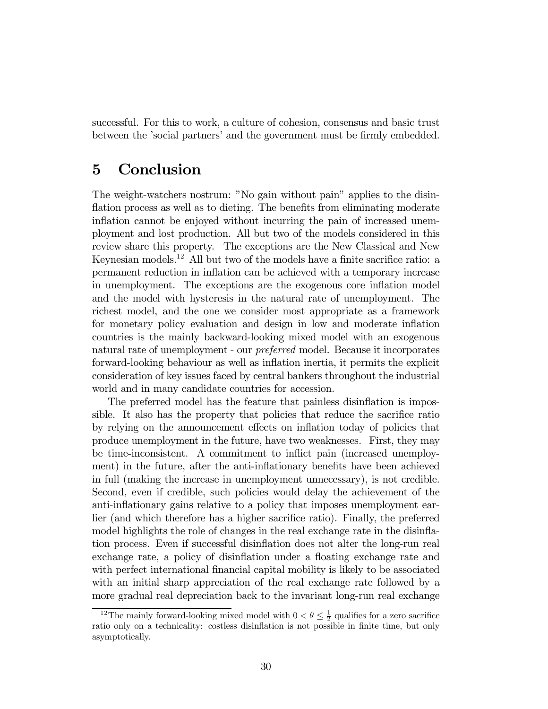successful. For this to work, a culture of cohesion, consensus and basic trust between the 'social partners' and the government must be firmly embedded.

### 5 Conclusion

The weight-watchers nostrum: "No gain without pain" applies to the disinflation process as well as to dieting. The benefits from eliminating moderate inflation cannot be enjoyed without incurring the pain of increased unemployment and lost production. All but two of the models considered in this review share this property. The exceptions are the New Classical and New Keynesian models.<sup>1</sup><sup>2</sup> All but two of the models have a finite sacrifice ratio: a permanent reduction in inflation can be achieved with a temporary increase in unemployment. The exceptions are the exogenous core inflation model and the model with hysteresis in the natural rate of unemployment. The richest model, and the one we consider most appropriate as a framework for monetary policy evaluation and design in low and moderate inflation countries is the mainly backward-looking mixed model with an exogenous natural rate of unemployment - our preferred model. Because it incorporates forward-looking behaviour as well as inflation inertia, it permits the explicit consideration of key issues faced by central bankers throughout the industrial world and in many candidate countries for accession.

The preferred model has the feature that painless disinflation is impossible. It also has the property that policies that reduce the sacrifice ratio by relying on the announcement effects on inflation today of policies that produce unemployment in the future, have two weaknesses. First, they may be time-inconsistent. A commitment to inflict pain (increased unemployment) in the future, after the anti-inflationary benefits have been achieved in full (making the increase in unemployment unnecessary), is not credible. Second, even if credible, such policies would delay the achievement of the anti-inflationary gains relative to a policy that imposes unemployment earlier (and which therefore has a higher sacrifice ratio). Finally, the preferred model highlights the role of changes in the real exchange rate in the disinflation process. Even if successful disinflation does not alter the long-run real exchange rate, a policy of disinflation under a floating exchange rate and with perfect international financial capital mobility is likely to be associated with an initial sharp appreciation of the real exchange rate followed by a more gradual real depreciation back to the invariant long-run real exchange

<sup>&</sup>lt;sup>12</sup>The mainly forward-looking mixed model with  $0 < \theta \leq \frac{1}{2}$  qualifies for a zero sacrifice ratio only on a technicality: costless disinflation is not possible in finite time, but only asymptotically.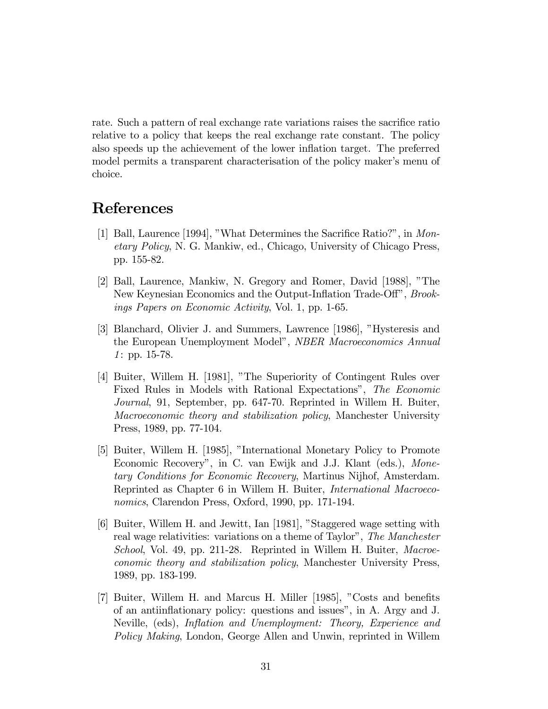rate. Such a pattern of real exchange rate variations raises the sacrifice ratio relative to a policy that keeps the real exchange rate constant. The policy also speeds up the achievement of the lower inflation target. The preferred model permits a transparent characterisation of the policy maker's menu of choice.

### References

- [1] Ball, Laurence [1994], "What Determines the Sacrifice Ratio?", in Monetary Policy, N. G. Mankiw, ed., Chicago, University of Chicago Press, pp. 155-82.
- [2] Ball, Laurence, Mankiw, N. Gregory and Romer, David [1988], "The New Keynesian Economics and the Output-Inflation Trade-Off", Brookings Papers on Economic Activity, Vol. 1, pp. 1-65.
- [3] Blanchard, Olivier J. and Summers, Lawrence [1986], "Hysteresis and the European Unemployment Model", NBER Macroeconomics Annual 1: pp. 15-78.
- [4] Buiter, Willem H. [1981], "The Superiority of Contingent Rules over Fixed Rules in Models with Rational Expectations", The Economic Journal, 91, September, pp. 647-70. Reprinted in Willem H. Buiter, Macroeconomic theory and stabilization policy, Manchester University Press, 1989, pp. 77-104.
- [5] Buiter, Willem H. [1985], "International Monetary Policy to Promote Economic Recovery", in C. van Ewijk and J.J. Klant (eds.), Monetary Conditions for Economic Recovery, Martinus Nijhof, Amsterdam. Reprinted as Chapter 6 in Willem H. Buiter, International Macroeconomics, Clarendon Press, Oxford, 1990, pp. 171-194.
- [6] Buiter, Willem H. and Jewitt, Ian [1981], "Staggered wage setting with real wage relativities: variations on a theme of Taylor", The Manchester School, Vol. 49, pp. 211-28. Reprinted in Willem H. Buiter, Macroeconomic theory and stabilization policy, Manchester University Press, 1989, pp. 183-199.
- [7] Buiter, Willem H. and Marcus H. Miller [1985], "Costs and benefits of an antiinflationary policy: questions and issues", in A. Argy and J. Neville, (eds), Inflation and Unemployment: Theory, Experience and Policy Making, London, George Allen and Unwin, reprinted in Willem